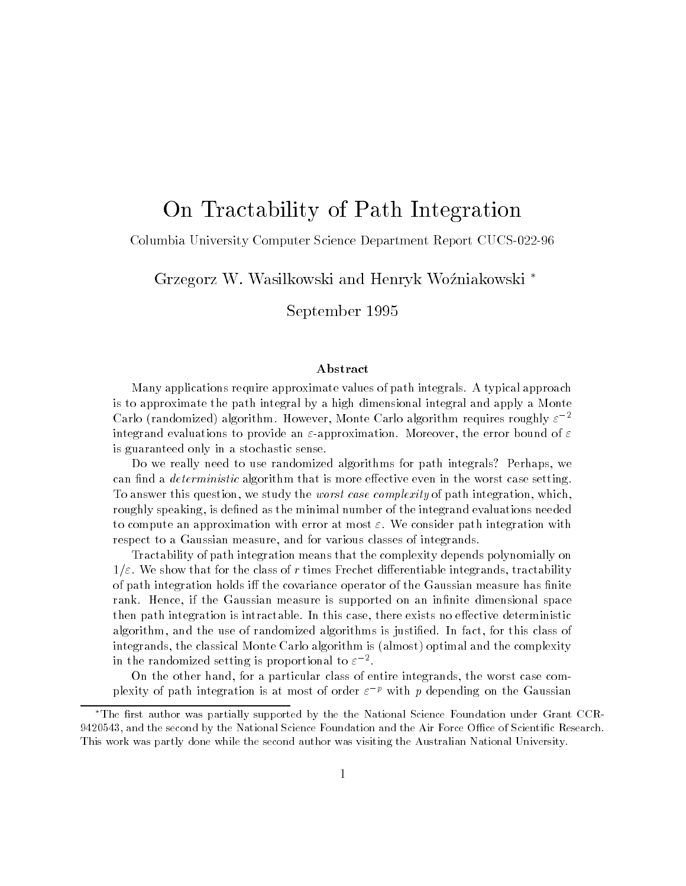# On Tractability of Path Integration

#### Columbia University Computer Science Department Report CUCS--

Grzegorz W- Wasilkowski and Henryk Wozniakowski

September

#### Abstract

Many applications require approximate values of path integrals- A typical approach is to approximate the path integral by a high dimensional integral and apply a Monte Uarlo (randomized) algorithm. However, Monte Uarlo algorithm requires roughly  $\varepsilon$  integrand evaluations to provide an approximation- Moreover the error bound of is guaranteed only in a stochastic sense-

Do we really need to use randomized algorithms for path integrals? Perhaps, we can find a *deterministic* algorithm that is more effective even in the worst case setting. To answer this question, we study the *worst case complexity* of path integration, which, roughly speaking, is defined as the minimal number of the integrand evaluations needed to compute an approximation with error at most  $\alpha$  , with error path integration with  $\alpha$ respect to a Gaussian measure, and for various classes of integrands.

Tractability of path integration means that the complexity depends polynomially on -- We show that for the class of <sup>r</sup> times Frechet di erentiable integrands tractability of path integration holds iff the covariance operator of the Gaussian measure has finite rank- Hence if the Gaussian measure is supported on an innite dimensional space the is interesting it is integration in the case the case there exists is in the case of the construction of t algorithm and the use of randomized algorithms is just for the use of the use of the use of this class of this c integrands, the classical Monte Carlo algorithm is (almost) optimal and the complexity in the randomized setting is proportional to  $\varepsilon$  - .

On the other hand, for a particular class of entire integrands, the worst case complexity of path integration is at most of order  $\varepsilon^{-p}$  with p depending on the Gaussian

<sup>.</sup> The first author was partially supported by the the National Science Foundation under Grant CCR- $\,$ and the second the second  $\sigma_{\rm c}$  the Air Foundation and the Air Force Ocean and the Air Force Oceanics - Contract - Contract -This work was partly done while the second author was visiting the Australian National University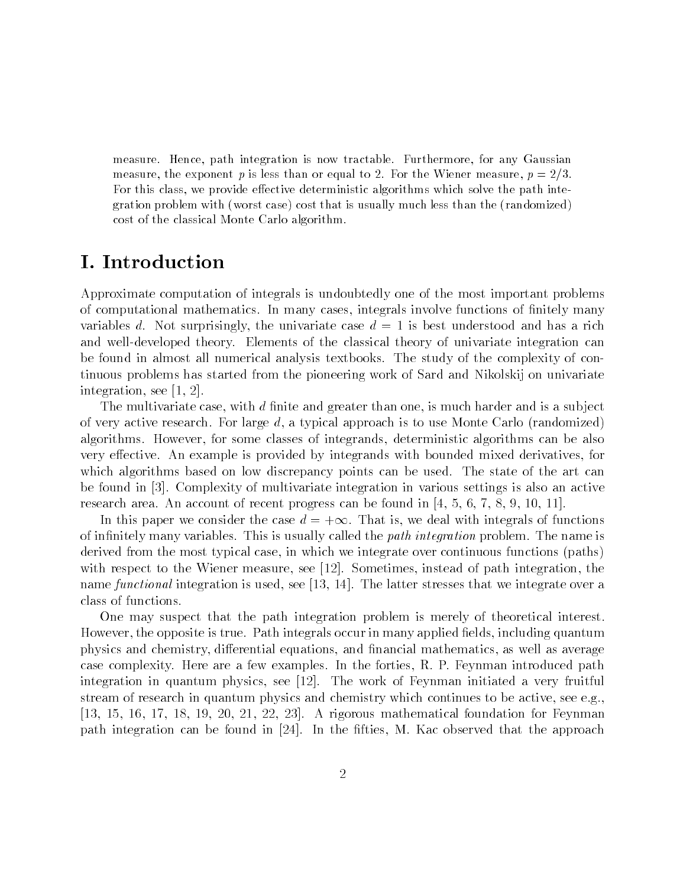measure-be-correspondence-tractable-correspondence-tractable-correspondence-tractable-correspondencemeasure the exponent <sup>p</sup> is less than or equal to - For the Wiener measure <sup>p</sup>  --For this class, we provide effective deterministic algorithms which solve the path integration problem with (worst case) cost that is usually much less than the (randomized) cost of the classical Monte Carlo algorithm-

Approximate computation of integrals is undoubtedly one of the most important problems of computational mathematics In many cases integrals involve functions of nitely many variables d. Not surprisingly, the univariate case  $d = 1$  is best understood and has a rich and well-developed theory Elements of the classical theory of univariate integration can be found in almost all numerical analysis textbooks The study of the complexity of continuous problems has started from the pioneering work of Sard and Nikolskij on univariate integration, see  $[1, 2]$ .

The multivariate case  $\mathbf{r}$  is multiplied than one is multiplied than one is multiplied than one is a subset of very active research. For large  $d$ , a typical approach is to use Monte Carlo (randomized) algorithms. However, for some classes of integrands, deterministic algorithms can be also very effective. An example is provided by integrands with bounded mixed derivatives, for which algorithms based on low discrepancy points can be used. The state of the art can be found in [3]. Complexity of multivariate integration in various settings is also an active research area. An account of recent progress can be found in  $[4, 5, 6, 7, 8, 9, 10, 11]$ .

In this paper we consider the case  $d = +\infty$ . That is, we deal with integrals of functions of interesting the called this is usually called the path is usually called the problem The name is a second t derived from the most typical case, in which we integrate over continuous functions (paths) with respect to the Wiener measure, see  $[12]$ . Sometimes, instead of path integration, the name functional integration is used, see [13, 14]. The latter stresses that we integrate over a class of functions

One may suspect that the path integration problem is merely of theoretical interest elds is the opposite is true Path integrals of the company applied to the manual manual manual quantum integra physics and chemistry dierential equations and nancial mathematics as well as average case complexity. Here are a few examples. In the forties, R. P. Feynman introduced path integration in quantum physics, see [12]. The work of Feynman initiated a very fruitful stream of research in quantum physics and chemistry which continues to be active, see e.g..  $[13, 15, 16, 17, 18, 19, 20, 21, 22, 23]$ . A rigorous mathematical foundation for Feynman path integration can be found in proposition the case of the second that the approach  $\eta$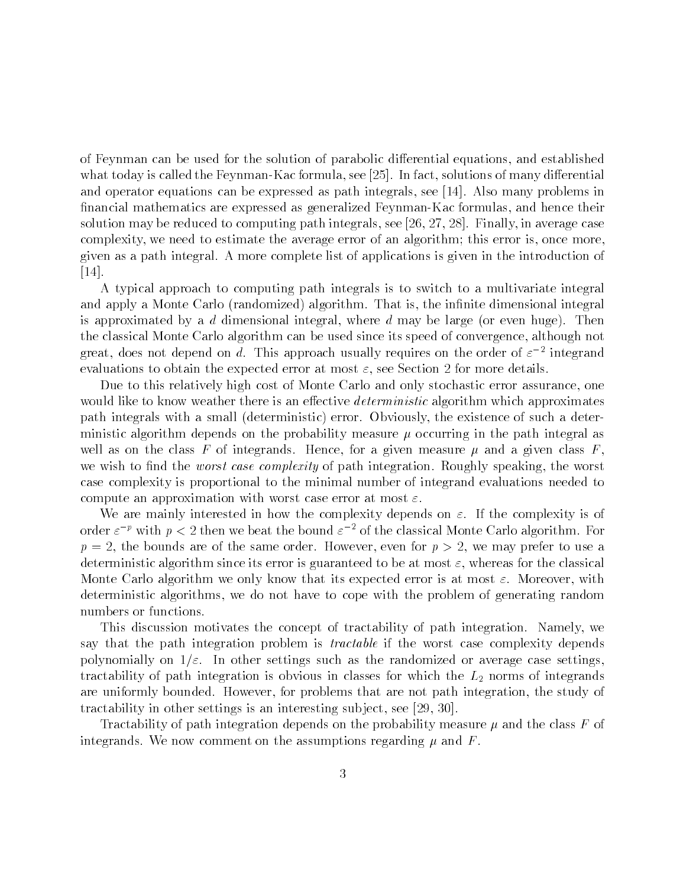of Feynman can be used for the solution of parabolic differential equations, and established what today is called the Feynman-In factor see the Feynman-In factor sees the solutions of many dierential see and operator equations can be expressed as path integrals, see  $[14]$ . Also many problems in nancial mathematics are expressed as generalized Feynman-Kac formulas and hence their solution may be reduced to computing path integrals, see  $[26, 27, 28]$ . Finally, in average case complexity, we need to estimate the average error of an algorithm; this error is, once more, given as a path integral A more complete list of applications is given in the introduction of  $[14]$ .

A typical approach to computing path integrals is to switch to a multivariate integral and apply a monte care carried algorithm That is algorithm That is the interesting interesting integral in is approximated by a d dimensional integral, where d may be large (or even huge). Then the classical Monte Carlo algorithm can be used since its speed of convergence, although not great, does not depend on  $a$ . Inis approach usually requires on the order of  $\varepsilon$  -mitegrand evaluations to obtain the expected error at most - at most - at most - at most - at most - at most

Due to this relatively high cost of Monte Carlo and only stochastic error assurance, one would like to know weather there is an effective *deterministic* algorithm which approximates path integrals with a small (deterministic) error. Obviously, the existence of such a deterministic algorithm depends on the probability measure  $\mu$  occurring in the path integral as well as on the class F of integrands. Hence, for a given measure  $\mu$  and a given class F. we we we asset the worst case complexity of path integrations of monography speaking the worst. case complexity is proportional to the minimal number of integrand evaluations needed to computer and approximation with with with at most case  $\alpha$  at  $\alpha$ 

we are mainly interested in how the complexity depends on a complexity depending  $\mathcal{L}_\mathbf{r}$ order  $\varepsilon^{-\kappa}$  with  $p < z$  then we beat the bound  $\varepsilon^{-\kappa}$  of the classical Monte Carlo algorithm. For  $p = 2$ , the bounds are of the same order. However, even for  $p > 2$ , we may prefer to use a deterministic algorithm since its error is guaranteed to be at most - where the class criticism Monte Carlo algorithm we only know that its expected error is expected error is at  $M$ deterministic algorithms, we do not have to cope with the problem of generating random numbers or functions

This discussion motivates the concept of tractability of path integration. Namely, we say that the path integration problem is *tractable* if the worst case complexity depends polynomially on the settings such as the randomized or average cases such as the randomly cases of the random tractability of path integration is obvious in classes for which the L norms of integration integration integration in are uniformly bounded. However, for problems that are not path integration, the study of tractability in other settings is an interesting subject, see  $[29, 30]$ .

Tractability of path integration depends on the probability measure  $\mu$  and the class F of integrands. We now comment on the assumptions regarding  $\mu$  and  $F$ .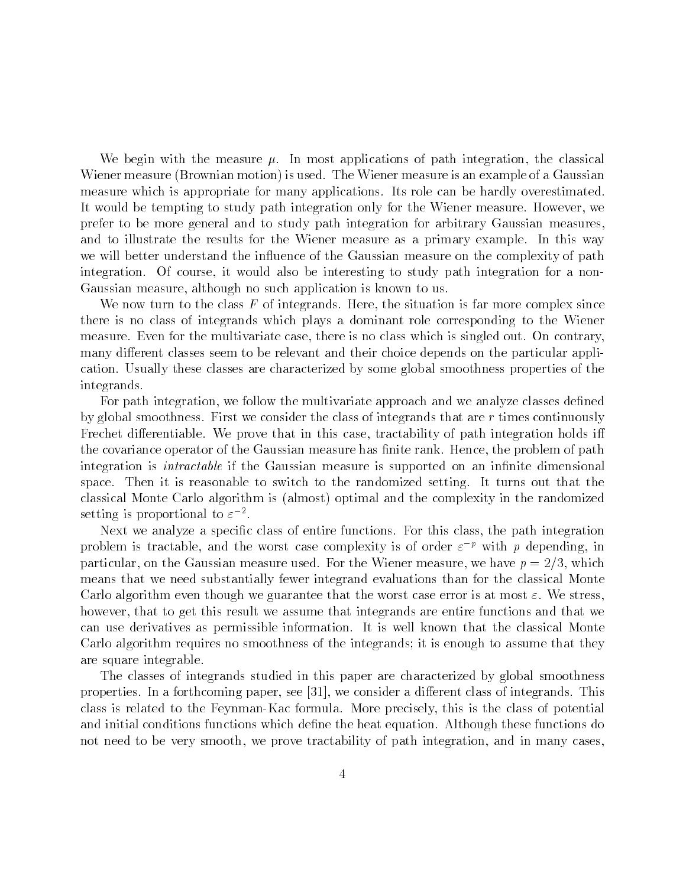We begin with the measure  $\mu$ . In most applications of path integration, the classical Wiener measure (Brownian motion) is used. The Wiener measure is an example of a Gaussian measure which is appropriate for many applications Its role can be hardly overestimated It would be tempting to study path integration only for the Wiener measure. However, we prefer to be more general and to study path integration for arbitrary Gaussian measures and to illustrate the results for the Wiener measure as a primary example. In this way we will better understand the influence of the Gaussian measure on the complexity of path integration. Of course, it would also be interesting to study path integration for a non-Gaussian measure, although no such application is known to us.

We now turn to the class  $F$  of integrands. Here, the situation is far more complex since there is no class of integrands which plays a dominant role corresponding to the Wiener measure. Even for the multivariate case, there is no class which is singled out. On contrary, many different classes seem to be relevant and their choice depends on the particular application Usually these classes are characterized by some global smoothness properties of the integrands

For path integration we follow the multivariate approach and we analyze classes de ned by global smoothness. First we consider the class of integrands that are  $r$  times continuously Frechet differentiable. We prove that in this case, tractability of path integration holds iff the covariance operator of the Gaussian measure has nite rank Hence the problem of path integration is intractable if the Gaussian measure is supported on an in nite dimensional space. Then it is reasonable to switch to the randomized setting. It turns out that the classical Monte Carlo algorithm is (almost) optimal and the complexity in the randomized setting is proportional to  $\varepsilon$  -.

Next we analyze a speci c class of entire functions For this class the path integration problem is tractable, and the worst case complexity is of order  $\varepsilon$   $\epsilon$  with  $p$  depending, in particular, on the Gaussian measure used. For the Wiener measure, we have  $p = 2/3$ , which means that we need substantially fewer integrand evaluations than for the classical Monte Carlo algorithm even though we guarantee that the worst case error is at most - We stress however, that to get this result we assume that integrands are entire functions and that we can use derivatives as permissible information It is well known that the classical Monte Carlo algorithm requires no smoothness of the integrands; it is enough to assume that they are square integrable

The classes of integrands studied in this paper are characterized by global smoothness properties. In a forthcoming paper, see  $[31]$ , we consider a different class of integrands. This class is related to the Feynmann ring class of precisely this is the class of potential  $\sim$ and initial conditions functions which de ne the heat equation Although these functions do not need to be very smooth, we prove tractability of path integration, and in many cases.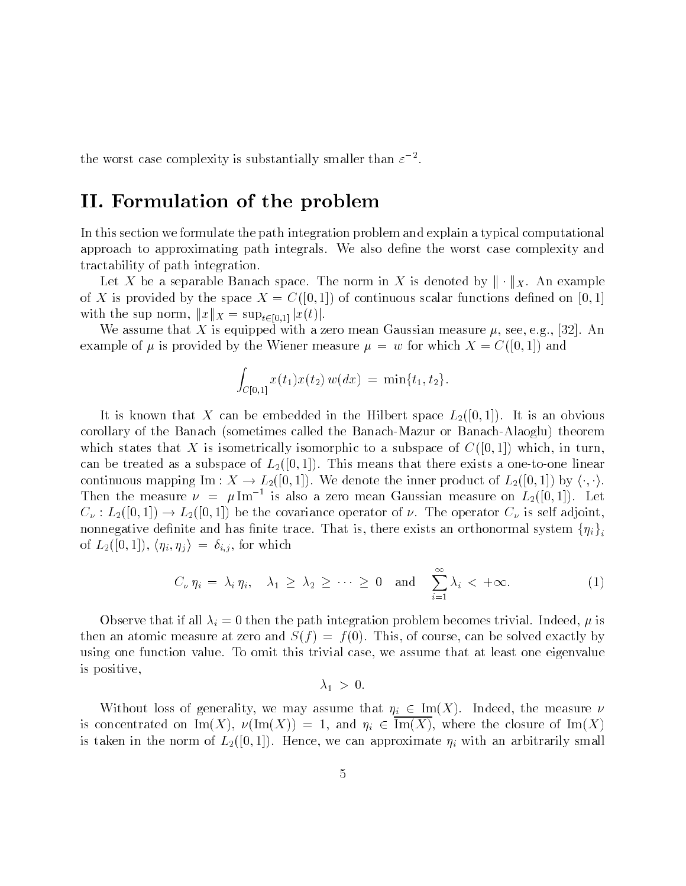the worst case complexity is substantially smaller than  $\varepsilon^{-}$ .

## II- Formulation of the problem

In this section we formulate the path integration problem and explain a typical computational approach to approximating path integrals We also de ne the worst case complexity and tractability of path integration

Let X be a separable Banach space. The norm in X is denoted by  $\|\cdot\|_X$ . An example of the complete the space  $\alpha$  is the space  $\alpha$  is the space  $\alpha$  continuous scalar functions defined and  $\alpha$ with the sup norm,  $||x||_X = \sup_{t \in [0,1]} |x(t)|$ .

We assume that X is equipped with a zero mean Gaussian measure  $\mu$ , see, e.g., [32]. An example of  $\mu$  is provided by the Wiener measure  $\mu = w$  for which  $X = C([0,1])$  and

$$
\int_{C[0,1]} x(t_1)x(t_2) w(dx) = \min\{t_1, t_2\}.
$$

It is known that X can be embedded in the Hilbert space  $L_2([0,1])$ . It is an obvious corollary of the Banach- (components theorem and Banach- alaman- alaoglum theorem and the Banachwhich states that X is isometrically isomorphic to a subspace of  $C([0,1])$  which, in turn.  $\mathbf{L}$  as a subspace of  $\mathbf{L}$  as a subspace of Linear and  $\mathbf{L}$ continuous mapping Im :  $X \to L_2([0,1])$ . We denote the inner product of  $L_2([0,1])$  by  $\langle \cdot, \cdot \rangle$ . Then the measure  $\nu = \mu_{\text{Im}}$  is also a zero mean Gaussian measure on  $L_2(|0,1|)$ . Let  $C_{\nu}$ :  $L_2([0,1]) \to L_2([0,1])$  be the covariance operator of  $\nu$ . The operator  $C_{\nu}$  is self adjoint, nonnegative definite and has finite trace. That is, there exists an orthonormal system  $\{\eta_i\}$ iof  $L_2([0,1])$ ,  $\langle \eta_i, \eta_j \rangle = \delta_{i,j}$ , for which

$$
\eta_{j} = o_{i,j}, \text{ for which}
$$
\n
$$
C_{\nu} \eta_{i} = \lambda_{i} \eta_{i}, \quad \lambda_{1} \geq \lambda_{2} \geq \cdots \geq 0 \quad \text{and} \quad \sum_{i=1}^{\infty} \lambda_{i} < +\infty. \tag{1}
$$

observe that it was if all all integrations the path integration problem becomes the complete  $\mathcal{L}_i$  is all then an atomic measure at zero and  $S(f) = f(0)$ . This, of course, can be solved exactly by using one function value. To omit this trivial case, we assume that at least one eigenvalue is positive 

 $\blacksquare$ 

Without loss of generality, we may assume that  $\eta_i \in \text{Im}(X)$ . Indeed, the measure  $\nu$ is concentrated on  $\text{Im}(X)$ ,  $\nu(\text{Im}(X)) = 1$ , and  $\eta_i \in \text{Im}(X)$ , where the closure of  $\text{Im}(X)$ is taken in the norm of  $\#V(\varphi)$  ,  $\Box$  we can approximate  $\Box$  is the canonical  $\Box V$  with an arbitrarily smaller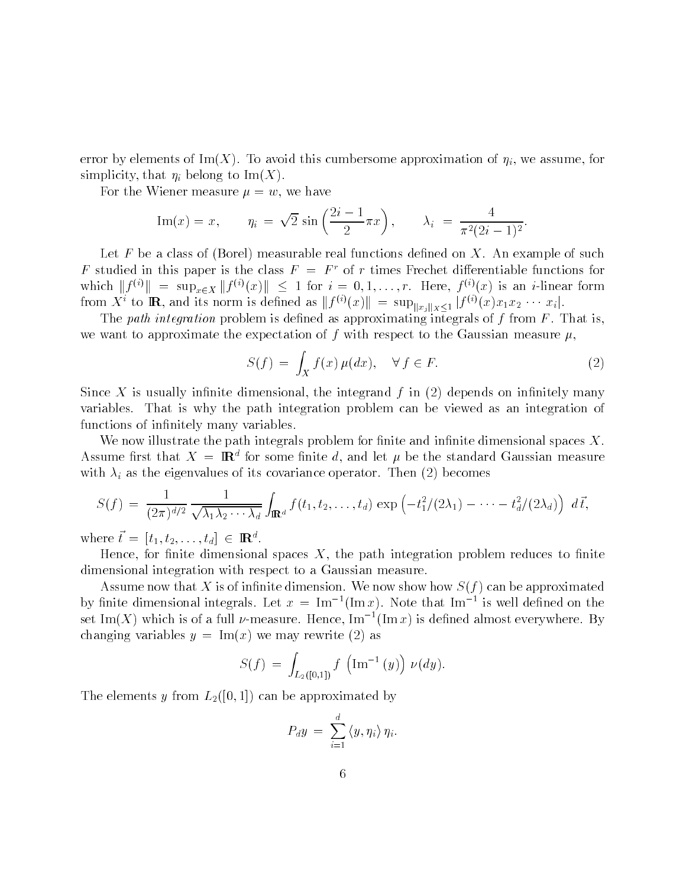error  $\alpha$  , created the Imager  $\mu$  and this cumbers of the approximation of  $\alpha$  is  $\alpha$  assumed that  $\alpha$ simplicity in the ImX of ImX of ImX of ImX of ImX of ImX of ImX of ImX of ImX of ImX of ImX of ImX of ImX of I i

For the Wiener measure  $\mu = w$ , we have

Im(x) = x, 
$$
\eta_i = \sqrt{2} \sin \left( \frac{2i - 1}{2} \pi x \right)
$$
,  $\lambda_i = \frac{4}{\pi^2 (2i - 1)^2}$ .

Let F be a class of Borel measurable real functions de ned on X An example of such F studied in this paper is the class  $F = F<sup>r</sup>$  of r times Frechet differentiable functions for Let F be a class of (Borel) measurable real functions defined on X. An example of such F studied in this paper is the class  $F = F^r$  of r times Frechet differentiable functions for which  $||f^{(i)}|| = \sup_{x \in X} ||f^{(i)}(x)|| \le 1$  for from  $X^i$  to  $\mathbf R$ , and its norm is defined as  $||f^{(i)}(x)|| = \sup_{||x_i||_X \leq 1} |f^{(i)}(x)x_1x_2 \cdots x_i|$ .

The path integration problem is de ned as approximating integrals of f from F That is we want to approximate the expectation of f with respect to the Gaussian measure  $\mu$ ,

$$
S(f) = \int_X f(x) \,\mu(dx), \quad \forall \, f \in F. \tag{2}
$$

nitely is a control the integrated from the integrand form  $\mathcal{A}$  in  $\mathcal{A}$  in  $\mathcal{A}$  in  $\mathcal{A}$  in  $\mathcal{A}$  in  $\mathcal{A}$  in  $\mathcal{A}$ variables. That is why the path integration problem can be viewed as an integration of functions of intervals of intervals of intervals of intervals of intervals of intervals of intervals of interv

we now it and it can path integrate the problem for the spaces  $\alpha$  interests in the space  $\alpha$  path in the space Assume first that  $\Lambda \equiv \mathbf{R}^*$  for some finite  $a$ , and let  $\mu$  be the standard Gaussian measure with interesting the eigenvalues of its covariance operator  $\mathbf{N}$  is covariance operator Then  $\mathbf{N}$ 

th 
$$
\lambda_i
$$
 as the eigenvalues of its covariance operator. Then (2) becomes  
\n
$$
S(f) = \frac{1}{(2\pi)^{d/2}} \frac{1}{\sqrt{\lambda_1 \lambda_2 \cdots \lambda_d}} \int_{\mathbb{R}^d} f(t_1, t_2, \ldots, t_d) \exp\left(-t_1^2/(2\lambda_1) - \cdots - t_d^2/(2\lambda_d)\right) d\vec{t},
$$

where  $t = [t_1, t_2, \ldots, t_d] \in \mathbb{R}^d$ .

Hence for nite dimensional spaces X the path integration problem reduces to nite dimensional integration with respect to a Gaussian measure

Assume now that X is of in nite dimension We now show how Sf can be approximated by finite dimensional integrals. Let  $x = \text{Im}^{\text{-}}(\text{Im} x)$ . Note that Im  $\text{-}$  is well defined on the set Im(X) which is of a full  $\nu$ -measure. Hence, Im  $^+($ Imx) is defined almost everywhere. By changing variables  $y = \text{Im}(x)$  we may rewrite (2) as

$$
S(f) = \int_{L_2([0,1])} f\left(\text{Im}^{-1}(y)\right) \nu(dy).
$$

The elements y from  $L_2([0,1])$  can be approximated by

$$
P_{d}y = \sum_{i=1}^{d} \langle y, \eta_i \rangle \eta_i.
$$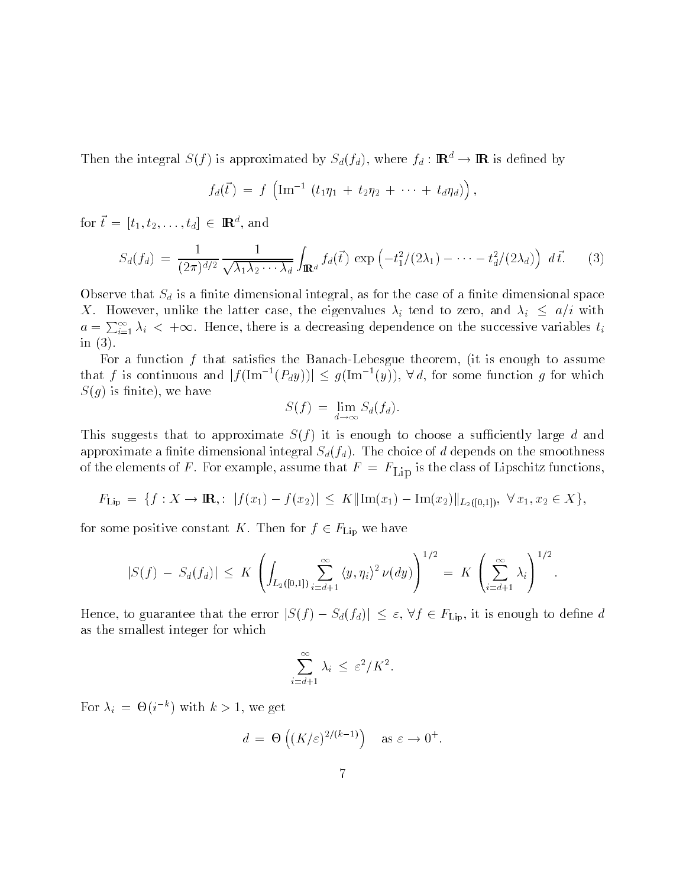Then the integral  $S(f)$  is approximated by  $S_d(f_d)$ , where  $f_d : \mathbf{R}^d \to \mathbf{R}$  is defined by

$$
f_d(\vec{t}) = f\left(\text{Im}^{-1} (t_1\eta_1 + t_2\eta_2 + \cdots + t_d\eta_d)\right),
$$

for  $t = [t_1, t_2, \ldots, t_d] \in \mathbb{R}^d$ , and

$$
S_d(f_d) = \frac{1}{(2\pi)^{d/2}} \frac{1}{\sqrt{\lambda_1 \lambda_2 \cdots \lambda_d}} \int_{\mathbb{R}^d} f_d(\vec{t}) \exp\left(-t_1^2/(2\lambda_1) - \cdots - t_d^2/(2\lambda_d)\right) d\vec{t}.
$$
 (3)

observe that so is a formula interesting and the case of a formulation as formulation as formulation and space X. However, unlike the latter case, the eigenvalues  $\lambda_i$  tend to zero, and  $\lambda_i \leq a/i$  with  $a = \sum_{i=1}^{\infty} \lambda_i$  <  $+\infty$ . Hence, there is a decreasing dependence on the successive variables  $t_i$ in  $(3)$ .

For a function f that satis es the Banach-Lebesgue theorem it is enough to assume that f is continuous and  $|f(\text{Im}^{-1}(P_dy))| \leq g(\text{Im}^{-1}(y)), \forall d$ , for some function g for which nite is a second contract of the second contract of the second contract of the second contract of the second c

$$
S(f) = \lim_{d \to \infty} S_d(f_d).
$$

This suggests that to approximate  $S(f)$  it is enough to choose a sufficiently large d and approximate a community of the choice of dimensional Sdfd The choice of depending on the smoothness of the smoothness of the elements of F  $\sim$  F  $\sim$  examples) we was that F  $\sim$   $\sim$  FID is the class of Lipschitz functions).

the elements of F. For example, assume that 
$$
F = F_{\text{Lip}}
$$
 is the class of Lipschitz functions  
 $F_{\text{Lip}} = \{f : X \to \mathbf{R} : |f(x_1) - f(x_2)| \le K ||\text{Im}(x_1) - \text{Im}(x_2)||_{L_2([0,1])}, \ \forall x_1, x_2 \in X\},\$ 

for some positive constant K. Then for  $f \in F_{\text{Lin}}$  we have

$$
|S(f) - S_d(f_d)| \le K \left( \int_{L_2([0,1])} \sum_{i=d+1}^{\infty} \langle y, \eta_i \rangle^2 \nu(dy) \right)^{1/2} = K \left( \sum_{i=d+1}^{\infty} \lambda_i \right)^{1/2}.
$$
  
Hence, to guarantee that the error  $|S(f) - S_d(f_d)| \le \varepsilon$ ,  $\forall f \in F_{\text{Lip}}$ , it is enough to define d

as the smallest integer for which

$$
\sum_{i=d+1}^{\infty} \lambda_i \leq \varepsilon^2/K^2.
$$

For  $\lambda_i = \Theta(i^{\dagger})$  with  $k > 1$ , we get

$$
d = \Theta\left((K/\varepsilon)^{2/(k-1)}\right) \quad \text{as } \varepsilon \to 0^+.
$$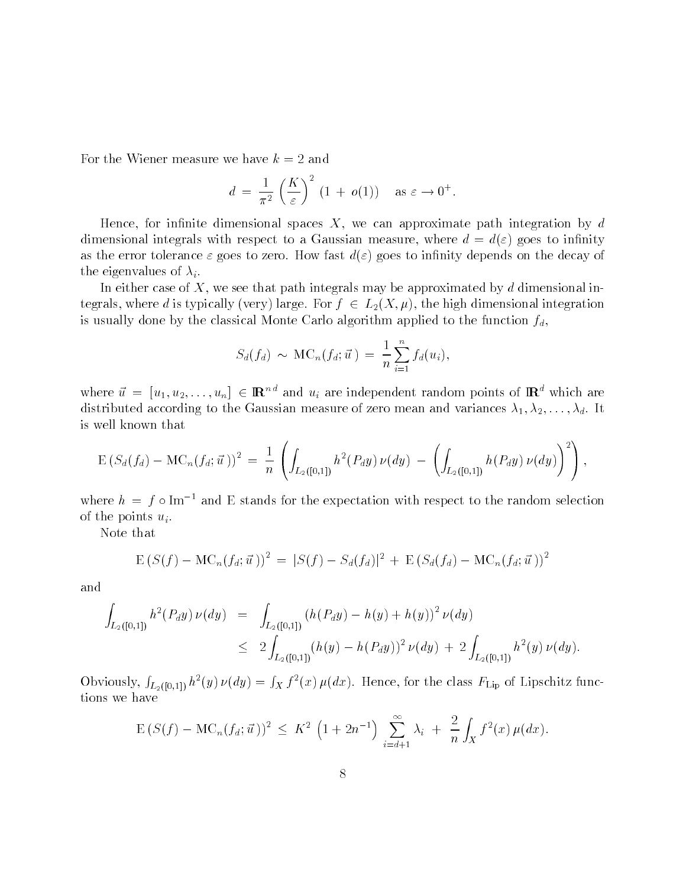For the Wiener measure we have  $k = 2$  and

$$
d = \frac{1}{\pi^2} \left(\frac{K}{\varepsilon}\right)^2 (1 + o(1)) \text{ as } \varepsilon \to 0^+.
$$

Hence for in nite dimensional spaces X we can approximate path integration by d dimensional integration with respect to a Gaussian measure of the control of  $\mathbf{y}$  and the integration of as the error tolerance - goes to zero How fast d- goes to in nity depends on the decay of the eigenvalues of  $\lambda_i$ .

In either case of X, we see that path integrals may be approximated by d dimensional integrals, where d is typically (very) large. For  $f \in L_2(X, \mu)$ , the high dimensional integration is usually done by the classical Monte Carlo algorithm applied to the function  $f_d$ ,

$$
S_d(f_d) \sim \text{MC}_n(f_d; \vec{u}) = \frac{1}{n} \sum_{i=1}^n f_d(u_i),
$$

where  $\vec{u} = [u_1, u_2, \dots, u_n] \in \mathbb{R}^{nd}$  and  $u_i$  are independent random points of  $\mathbb{R}^d$  which are distributed according to the Gaussian measure of zero mean and variances  $\lambda_1, \lambda_2, \ldots, \lambda_d$ . It is well known that

$$
\mathrm{E}\left(S_d(f_d)-\mathrm{MC}_n(f_d;\vec{u}\,)\right)^2\,=\,\frac{1}{n}\,\left(\int_{L_2([0,1])}h^2(P_dy)\,\nu(dy)\,-\,\left(\int_{L_2([0,1])}h(P_dy)\,\nu(dy)\right)^2\right),
$$

where  $h = f \circ \text{Im}^{-1}$  and E stands for the expectation with respect to the random selection of the points  $u_i$ .

Note that

$$
E (S(f) - MC_n(f_d; \vec{u}))^2 = |S(f) - S_d(f_d)|^2 + E (S_d(f_d) - MC_n(f_d; \vec{u}))^2
$$

and

$$
\int_{L_2([0,1])} h^2(P_d y) \nu(dy) = \int_{L_2([0,1])} (h(P_d y) - h(y) + h(y))^2 \nu(dy)
$$
\n
$$
\leq 2 \int_{L_2([0,1])} (h(y) - h(P_d y))^2 \nu(dy) + 2 \int_{L_2([0,1])} h^2(y) \nu(dy).
$$

Obviously,  $\int_{L_2([0,1])} h^2(y) \nu(dy) = \int_X f^2(x) \mu(dx)$ . Hence, for the class  $F_{\text{Lip}}$  of Lipschitz functions we have

$$
\mathbb{E}\left(S(f) - \mathrm{MC}_n(f_d; \vec{u})\right)^2 \le K^2 \left(1 + 2n^{-1}\right) \sum_{i=d+1}^{\infty} \lambda_i + \frac{2}{n} \int_X f^2(x) \,\mu(dx).
$$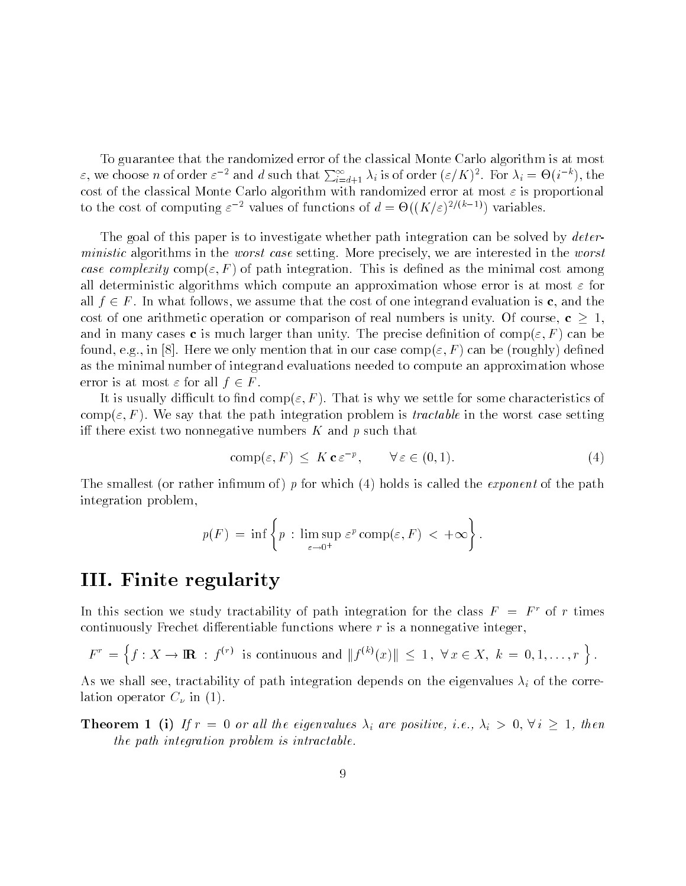To guarantee that the randomized error of the classical Monte Carlo algorithm is at most  $\varepsilon$ , we choose *n* of order  $\varepsilon^{-2}$  and *d* such that  $\sum_{i=d+1}^{\infty} \lambda_i$  is of order  $(\varepsilon/K)^2$ . For  $\lambda_i = \Theta(i^{-\kappa})$ , the cost of the classical Monte Carlo algorithm with randomized error at most - is proportional to the cost of computing  $\varepsilon$  - values of functions of  $a = \Theta((K/\varepsilon)^{2/(N-2)})$  variables.

The goal of this paper is to investigate whether path integration can be solved by *deterministic* algorithms in the *worst case* setting. More precisely, we are interested in the *worst* case complexity comp-path is path integration This is denoted as the minimal cost and minimal cost  $\pi$ all deterministic algorithms which compute an approximation whose error is at most - for all  $f \in F$ . In what follows, we assume that the cost of one integrand evaluation is c, and the cost of one arithmetic operation or comparison of real numbers is unity. Of course,  $c \geq 1$ , and in many cases c is much larger than unity The precise density of comp<sub>le</sub>ting and an in a found on the component of the component of the component of the component of the component of the component of the component of the component of the component of the component of the component of the component of the as the minimal number of integrand evaluations needed to compute an approximation whose error is at most  $\varepsilon$  for all  $f \in F$ .

It is usually dicult to nd comp- F That is why we settle for some characteristics of complete it that the path integration problem is the setting in the worst case in the worst case setting and iff there exist two nonnegative numbers  $K$  and p such that

$$
comp(\varepsilon, F) \leq K \mathbf{c} \varepsilon^{-p}, \qquad \forall \varepsilon \in (0, 1). \tag{4}
$$

The smallest or rather in  $\mathcal{F}$  for which is called the exponent of the exponent of the pathology  $\mathcal{F}$ integration problem 

$$
p(F) = \inf \left\{ p : \limsup_{\varepsilon \to 0^+} \varepsilon^p \text{ comp}(\varepsilon, F) < +\infty \right\}.
$$

### III- Finite regularity

In this section we study tractability of path integration for the class  $F = F<sup>r</sup>$  of r times continuously Frechet dierentiable functions where r is a nonnegative integer For is a nonnegative integer,<br>  $\begin{aligned} \n\kappa^{(k)}(x) \| & \leq 1 \,, \; \forall \, x \in X, \; k = 0, 1, \ldots, r \end{aligned}$ 

$$
F^r = \left\{ f : X \to \mathbb{R} \ : \ f^{(r)} \text{ is continuous and } \| f^{(k)}(x) \| \le 1, \ \forall x \in X, \ k = 0, 1, \dots, r \right\}.
$$

As we shall see the shall see tractability of path integration depends on the eigenvalues on the eigenvalues on the eigenvalues of the eigenvalues of the eigenvalues of the eigenvalues of the eigenvalues of the eigenvalue lation operator C in

**Theorem 1** (i) If  $r = 0$  or all the eigenvalues  $\lambda_i$  are positive, i.e.,  $\lambda_i > 0$ ,  $\forall i \geq 1$ , then the path integration problem is intractable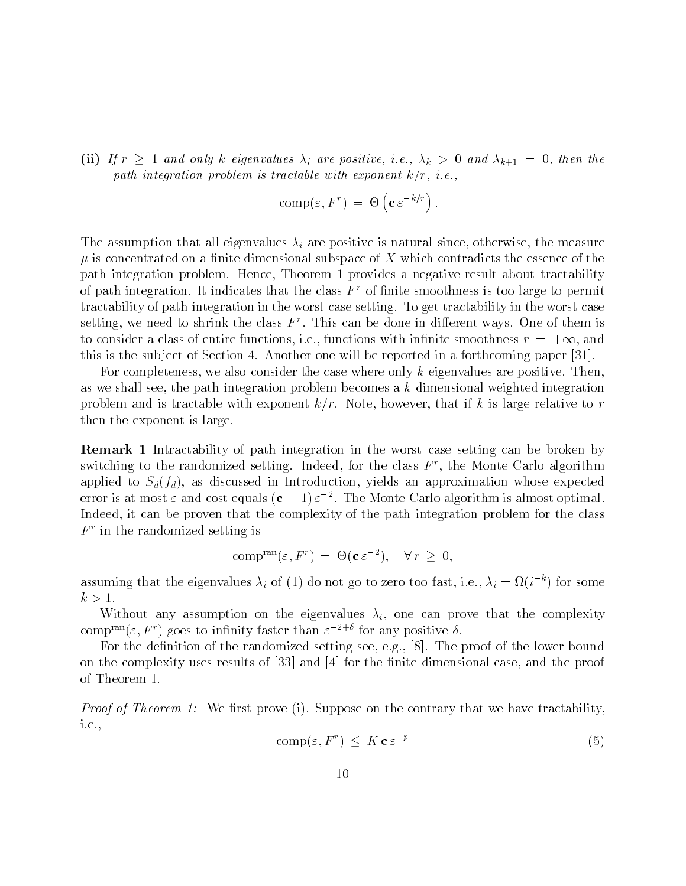(ii) If  $r \geq 1$  and only k eigenvalues  $\lambda_i$  are positive, i.e.,  $\lambda_k > 0$  and  $\lambda_{k+1} = 0$ , then the path integration problem is tractable with exponent  $k/r$ , i.e.,

$$
\operatorname{comp}(\varepsilon, F^r) \ = \ \Theta\left(\mathbf{c} \ \varepsilon^{-k/r}\right).
$$

The assumption that all eigenvalues  $\alpha$  is not positive is natural since  $\alpha$  is natural since  $\alpha$  is concentrated on a nite dimensional subspace of X which contradicts the essence of the path integration problem. Hence, Theorem 1 provides a negative result about tractability of path integration. It indicates that the class  $F^+$  of finite smoothness is too large to permit tractability of path integration in the worst case setting. To get tractability in the worst case setting, we need to shrink the class  $F$  . This can be done in different ways. One of them is to consider a class of entire functions, i.e., functions with infinite smoothness  $r = +\infty$ , and this is the subject of Section 4. Another one will be reported in a forthcoming paper  $[31]$ .

For completeness, we also consider the case where only k eigenvalues are positive. Then, as we shall see, the path integration problem becomes a  $k$  dimensional weighted integration problem and is tractable with exponent  $k/r$ . Note, however, that if k is large relative to r then the exponent is large

Remark - Intractability of path integration in the worst case setting can be broken by switching to the randomized setting. Indeed, for the class  $F$  , the Monte Carlo algorithm applied to  $S_d(f_d)$ , as discussed in Introduction, yields an approximation whose expected error is at most  $\varepsilon$  and cost equals ( ${\bf c}$  + 1)  $\varepsilon$   $^{-1}$  . The Monte Carlo algorithm is almost optimal. Indeed, it can be proven that the complexity of the path integration problem for the class  $F^+$  in the randomized setting is  $\hspace{0.1em}$ 

$$
\operatorname{comp}^{\operatorname{ran}}(\varepsilon, F^r) = \Theta(\mathbf{c} \varepsilon^{-2}), \quad \forall r \ge 0,
$$

assuming that the eigenvalues  $\lambda_i$  of (1) do not go to zero too fast, i.e.,  $\lambda_i = \Omega(i^{-\alpha})$  for some  $k>1$ .

Without any assumption on the eigenvalues  $\lambda_i$ , one can prove that the complexity compressively goes to infinity faster than  $\varepsilon^{-1}$  for any positive  $o$ .

For the de nition of the randomized setting see eg 
 The proof of the lower bound on the complexity uses results of 
 and 
 for the nite dimensional case and the proof of Theorem

Proof of Theorem We rst prove i Suppose on the contrary that we have tractability i.e.,

$$
\operatorname{comp}(\varepsilon, F^r) \leq K \mathbf{c} \varepsilon^{-p} \tag{5}
$$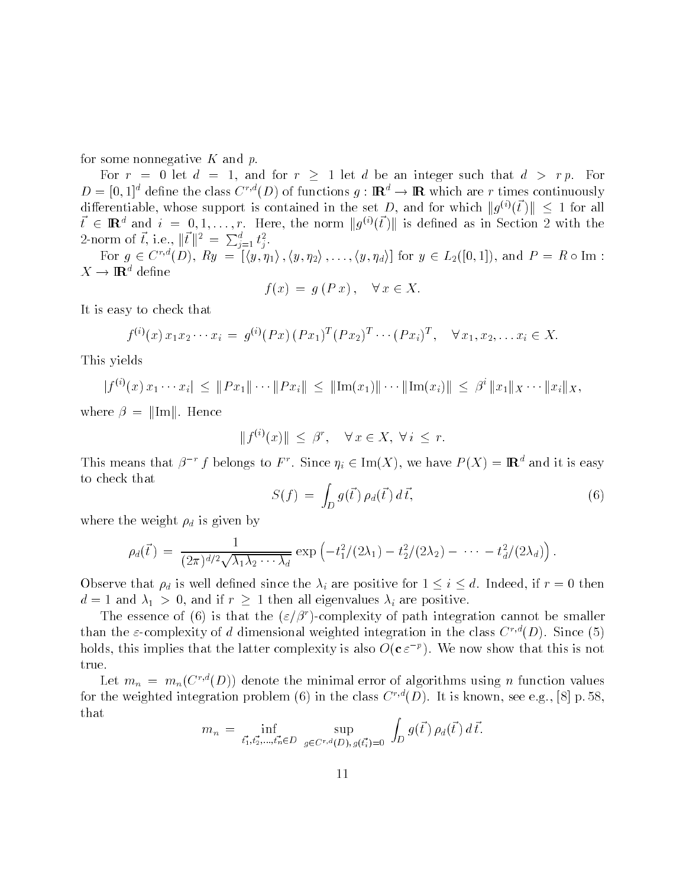for some nonnegative  $K$  and  $p$ .

For  $r = 0$  let  $d = 1$ , and for  $r \ge 1$  let d be an integer such that  $d > rp$ . For  $D = [0, 1]^d$  define the class  $C^{r,d}(D)$  of functions  $q : \mathbb{R}^d \to \mathbb{R}$  which are r times continuously differentiable, whose support is contained in the set D, and for which  $||g^{(i)}(\vec{t})|| \leq 1$  for all at  $d > rp$ . For<br>climes continuously<br>(i)( $\vec{t}$ )||  $\leq 1$  for all  $t \in \mathbb{R}^d$  and  $i = 0, 1, \ldots, r$ . Here, the norm  $||q^{(i)}(t)||$  is defined as in Section 2 with the 2-norm of  $\vec{t}$ , i.e.,  $\|\vec{t}\|^2 = \sum_{j=1}^d t_j^2$ .<br>
For  $g \in C^{r,d}(D)$ ,  $Ry = [\langle y, \eta_1 \rangle, \langle y, \eta_2 \rangle, \dots, \langle y, \eta_d \rangle]$  for  $y \in L_2([0,1])$ , and  $P = R \circ \text{Im}$ :

 $X \to \mathbf{R}^d$  define

$$
f(x) = g(Px), \quad \forall x \in X.
$$

It is easy to check that

$$
f^{(i)}(x) x_1 x_2 \cdots x_i = g^{(i)}(Px) (Px_1)^T (Px_2)^T \cdots (Px_i)^T, \quad \forall x_1, x_2, \ldots x_i \in X.
$$

This yields

 $|f^{(i)}(x)x_1\cdots x_i|\leq ||Px_1||\cdots||Px_i||\leq ||\text{Im}(x_1)||\cdots$  $\|\text{Im}(x_i)\| \leq \beta^i \|x_1\|_X \cdots \|x_i\|_X$ 

where  $\beta = ||Im||$ . Hence

$$
||f^{(i)}(x)|| \leq \beta^r, \quad \forall x \in X, \ \forall i \leq r.
$$

This means that  $\beta^{-r} f$  belongs to F<sup>r</sup>. Since  $\eta_i \in \text{Im}(X)$ , we have  $P(X) = \mathbb{R}^d$  and it is easy to check that

$$
S(f) = \int_D g(\vec{t}) \rho_d(\vec{t}) d\vec{t}, \qquad (6)
$$

where the weight discussion and in the weight of the weight of the weight of the weight of the weight of the w

the weight 
$$
\rho_d
$$
 is given by  
\n
$$
\rho_d(\vec{t}) = \frac{1}{(2\pi)^{d/2}\sqrt{\lambda_1\lambda_2\cdots\lambda_d}} \exp\left(-t_1^2/(2\lambda_1) - t_2^2/(2\lambda_2) - \cdots - t_d^2/(2\lambda_d)\right).
$$

Observe that  $\rho_d$  is well defined since the  $\lambda_i$  are positive for  $1 \leq i \leq d$ . Indeed, if  $r = 0$  then  $d = 1$  and  $\lambda_1 > 0$ , and if  $r \geq 1$  then all eigenvalues  $\lambda_i$  are positive.

The essence of (6) is that the  $(\varepsilon/\beta')$  complexity of path integration cannot be smaller than the  $\varepsilon$ -complexity of d dimensional weighted integration in the class  $C^{\gamma*}(D)$ . Since (5) holds, this implies that the latter complexity is also  $O(C \, \varepsilon^{-r})$ . We now show that this is not true

Let  $m_n = m_n(C^{\gamma-}(D))$  denote the minimal error of algorithms using n function values for the weighted integration problem (b) in the class  $C^{\infty}(D)$ . It is known, see e.g., [8] p. 58, that **Zakarta Communication** 

$$
m_n = \inf_{\vec{t_1}, \vec{t_2}, \dots, \vec{t_n} \in D} \sup_{g \in C^{r,d}(D), g(\vec{t_i}) = 0} \int_D g(\vec{t}) \rho_d(\vec{t}) d\vec{t}.
$$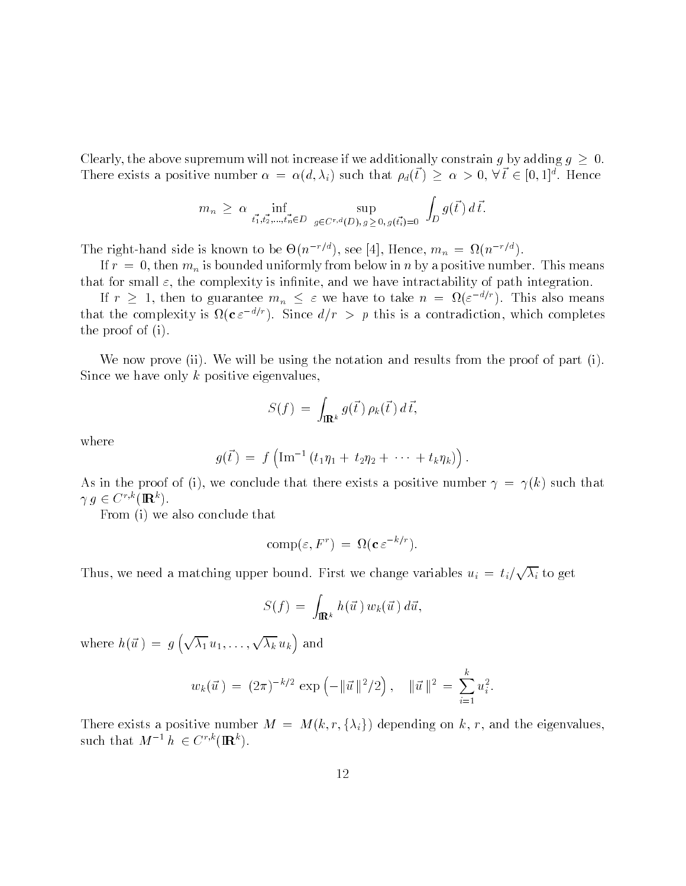Clearly, the above supremum will not increase if we additionally constrain g by adding  $g \geq 0$ . There exists a positive number  $\alpha = \alpha(d, \lambda_i)$  such that  $\rho_d(t) \geq \alpha > 0$ ,  $\forall t \in [0, 1]^d$ . Hence

$$
m_n \geq \alpha \inf_{t_1^*, t_2^*, \dots, t_n^* \in D} \sup_{g \in C^{r,d}(D), g \geq 0, g(t_1^*) = 0} \int_D g(\vec{t}) d\vec{t}.
$$

The right-hand side is known to be  $\Theta(n^{-\gamma})$ , see [4], Hence,  $m_n = \Omega(n^{-\gamma})$ .

If the main is bounded uniformly from below in the positive number  $\mathcal{A}$  and  $\mathcal{A}$  are positive number This means  $\mathcal{A}$  and  $\mathcal{A}$ that for small - the complexity is integration in the complexity is integration of path integration integration

If  $r \geq 1$ , then to guarantee  $m_n \leq \varepsilon$  we have to take  $n = \Omega(\varepsilon^{-d/r})$ . This also means that the complexity is  $\mathfrak{U}(\mathfrak{c} \varepsilon^{-\alpha})$ . Since  $a/r > p$  this is a contradiction, which completes the proof of  $(i)$ .

We now prove (ii). We will be using the notation and results from the proof of part (i). Since we have only  $k$  positive eigenvalues,

$$
S(f) = \int_{\mathbf{R}^k} g(\vec{t}) \rho_k(\vec{t}) d\vec{t},
$$

where

$$
g(\vec{t}) = f\left(\text{Im}^{-1} (t_1 \eta_1 + t_2 \eta_2 + \cdots + t_k \eta_k)\right).
$$

As in the proof of (i), we conclude that there exists a positive number  $\gamma = \gamma(k)$  such that  $\gamma q \in C^{r,k}(\mathbf{R}^k).$ 

From (i) we also conclude that

$$
\text{comp}(\varepsilon, F^r) = \Omega(\mathbf{c} \,\varepsilon^{-k/r}).
$$

Thus, we need a matching upper bound. First we change variables  $u_i = t_i/\sqrt{\lambda_i}$  to get

$$
S(f) = \int_{\mathbf{R}^k} h(\vec{u}) w_k(\vec{u}) d\vec{u},
$$

where  $h(\vec{u}) = g\left(\sqrt{\lambda_1}u_1,\ldots,\sqrt{\lambda_k}u_k\right)$  and

$$
w_k(\vec{u}) = (2\pi)^{-k/2} \exp(-\|\vec{u}\|^2/2), \quad \|\vec{u}\|^2 = \sum_{i=1}^k u_i^2.
$$

There exists a positive number  $M = M(k, r, \{\lambda_i\})$  depending on k, r, and the eigenvalues, such that  $M^{-1}h \in C^{r,k}(\mathbb{R}^k)$ .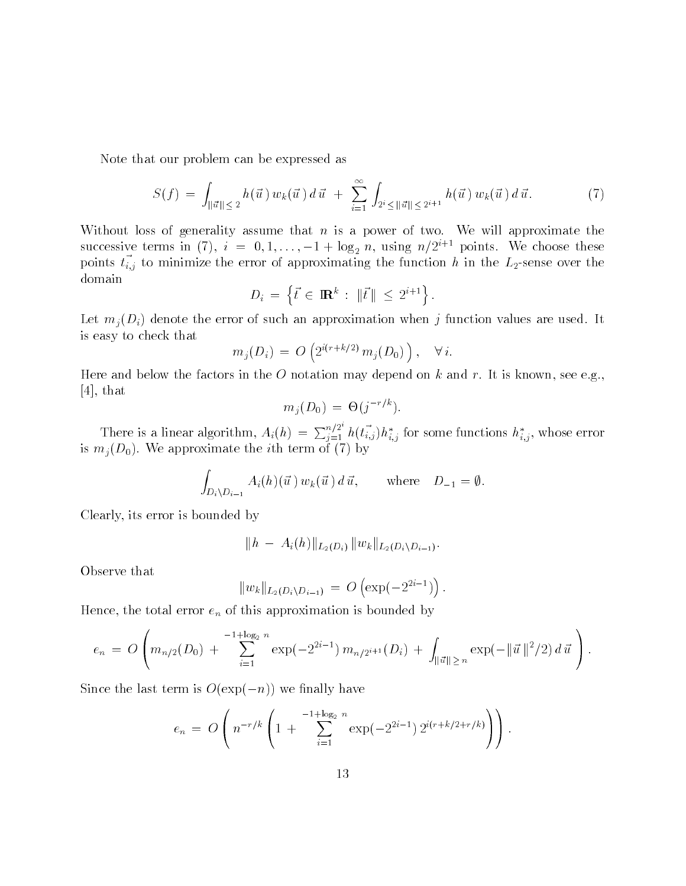Note that our problem can be expressed as

$$
S(f) = \int_{\|\vec{u}\| \leq 2} h(\vec{u}) w_k(\vec{u}) d\vec{u} + \sum_{i=1}^{\infty} \int_{2^i \leq \|\vec{u}\| \leq 2^{i+1}} h(\vec{u}) w_k(\vec{u}) d\vec{u}.
$$
 (7)

Without loss of generality assume that  $n$  is a power of two. We will approximate the successive terms in (7),  $i = 0, 1, ..., -1 + \log_2 n$ , using  $n/2^{i+1}$  points. We choose these points  $v_{i,j}$  to minimize the error of approximating the function  $n$  in the  $L_2$  sense over the domain ating the functio $\colon \|\vec{t}\| < 2^{i+1}\big\}.$ 

$$
D_i = \left\{ \vec{t} \in \mathbb{R}^k : \|\vec{t}\| \le 2^{i+1} \right\}.
$$

 $\mathcal{L}$  and  $\mathcal{L}$  and approximation values are used its such an approximation values are used its such an approximation values are used its such an approximation values are used its such an approximation values are us is easy to check that

$$
m_j(D_i) = O\left(2^{i(r+k/2)} m_j(D_0)\right), \quad \forall i.
$$

Here and below the factors in the O notation may depend on k and r. It is known, see e.g.,  $[4]$ , that

$$
m_j(D_0) = \Theta(j^{-r/k}).
$$

There is a linear algorithm,  $A_i(h) = \sum_{i=1}^{n_f} h(t_{i,j}) h_{i,j}^*$  for some functions  $h_{i,j}^*$ , whose error is more approximate the iteration of the iteration of  $\{f_i\}_{i=1}^N$ 

$$
\int_{D_i \setminus D_{i-1}} A_i(h)(\vec{u}) w_k(\vec{u}) d\vec{u}, \quad \text{where} \quad D_{-1} = \emptyset.
$$

Clearly, its error is bounded by

$$
\|h \ - \ A_i(h)\|_{L_2(D_i)} \, \|w_k\|_{L_2(D_i \setminus D_{i-1})}.
$$

Observe that

$$
||w_k||_{L_2(D_i \setminus D_{i-1})} = O\left(\exp(-2^{2i-1})\right).
$$

Hence the total error entries in this approximation is bounded by  $\mathcal{L}$ 

$$
e_n = O\left(m_{n/2}(D_0) + \sum_{i=1}^{-1+\log_2 n} \exp(-2^{2i-1}) m_{n/2^{i+1}}(D_i) + \int_{\|\vec{u}\| \geq n} \exp(-\|\vec{u}\|^2/2) d\vec{u}\right).
$$

Since the last term is  $O(\exp(-n))$  we finally have

$$
e_n = O\left(n^{-r/k} \left(1 + \sum_{i=1}^{-1+\log_2 n} \exp(-2^{2i-1}) 2^{i(r+k/2+r/k)}\right)\right).
$$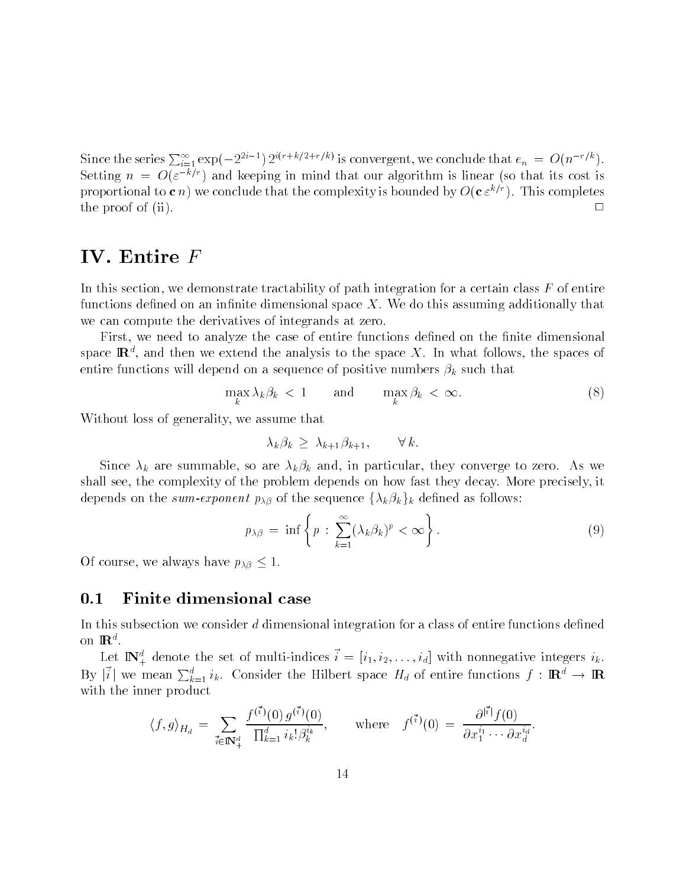Since the series  $\sum_{i=1}^{\infty} \exp(-2^{2i-1}) 2^{i(r+k/2+r/k)}$  is convergent, we conclude that  $e_n = O(n^{-r/k})$ . Setting  $n = O(\varepsilon^{-\alpha} t)$  and keeping in mind that our algorithm is linear (so that its cost is proportional to **c** n) we conclude that the complexity is bounded by  $O(C \varepsilon^{n+1})$ . This completes the proof of  $(ii)$ .  $\Box$ 

### IV- Entire <sup>F</sup>

In this section, we demonstrate tractability of path integration for a certain class  $F$  of entire functions de ned on an in nite dimensional space X We do this assuming additionally that we can compute the derivatives of integrands at zero

ritty of the case of entirely need the case of entire functional decompositions density density constructions space  $\mathbf{R}^*$ , and then we extend the analysis to the space  $\Lambda$ . In what follows, the spaces of entire functions will depend on a sequence of positive numbers  $\mathbf{f}$  and  $\mathbf{f}$ 

$$
\max_{k} \lambda_k \beta_k < 1 \qquad \text{and} \qquad \max_{k} \beta_k < \infty. \tag{8}
$$

Without loss of generality, we assume that

$$
\lambda_k \beta_k \geq \lambda_{k+1} \beta_{k+1}, \qquad \forall k.
$$

 $S$  are such a summable so are such and  $\mu$  in particular the  $\mu$  such an  $\sigma$  and  $\sigma$   $\Delta$  are  $\sigma$  as well as well as  $\sigma$ shall see, the complexity of the problem depends on how fast they decay. More precisely, it depends on the sum-exponent  $p_{\lambda\beta}$  of the sequence  $\{\lambda_k\beta_k\}_k$  defined as follows:

$$
p_{\lambda\beta} = \inf \left\{ p : \sum_{k=1}^{\infty} (\lambda_k \beta_k)^p < \infty \right\} . \tag{9}
$$

Of course, we always have  $p_{\lambda\beta}\leq 1$ .

#### $0.1$ Finite dimensional case

In this subsection we consider d dimensional integration for a class of entire functions de ned on  $\mathbb{R}^d$ .

Let  $\mathbb{I} \mathbb{N}_+^*$  denote the set of multi-indices  $i = [i_1, i_2, \ldots, i_d]$  with nonnegative integers  $i_k$ . By  $|i|$  we mean  $\sum_{k=1}^d i_k$ . Consider the Hilbert space  $H_d$  of entire functions  $f: \mathbf{R}^d \to \mathbf{R}$ with the inner product

$$
\langle f, g \rangle_{H_d} = \sum_{\vec{i} \in \mathbb{N}_+^d} \frac{f^{(\vec{i})}(0) \, g^{(\vec{i})}(0)}{\prod_{k=1}^d i_k! \beta_k^{i_k}}, \qquad \text{where} \quad f^{(\vec{i})}(0) = \frac{\partial^{|\vec{i}|} f(0)}{\partial x_1^{i_1} \cdots \partial x_d^{i_d}}.
$$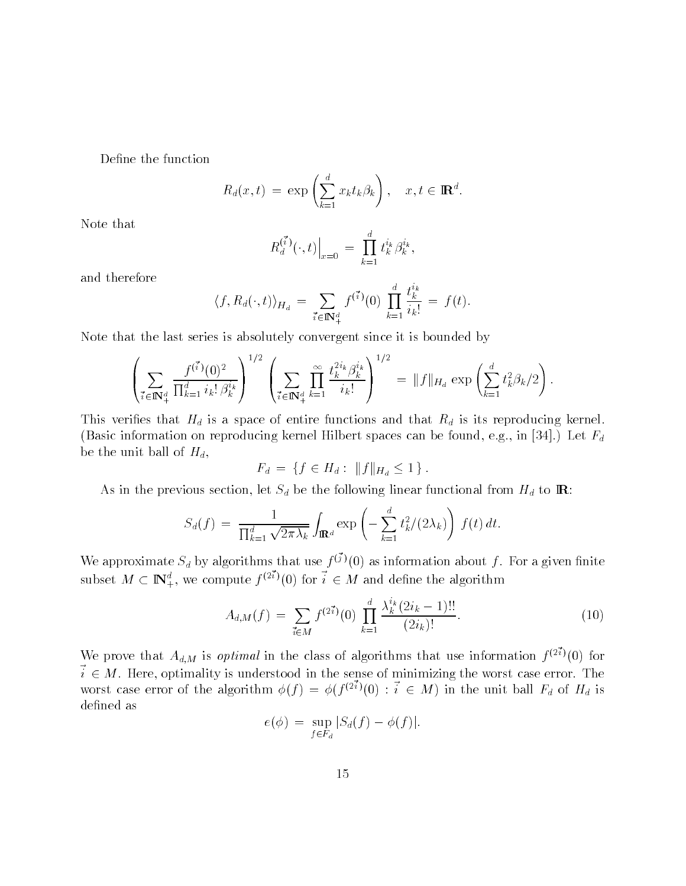$$
R_d(x,t) = \exp\left(\sum_{k=1}^d x_k t_k \beta_k\right), \quad x, t \in \mathbb{R}^d.
$$

Note that

$$
R_d^{(\vec{i})}(\cdot,t)\Big|_{x=0} = \prod_{k=1}^d t_k^{i_k} \beta_k^{i_k},
$$

and therefore

$$
\langle f, R_d(\cdot, t) \rangle_{H_d} = \sum_{\vec{i} \in \mathbb{N}_+^d} f^{(\vec{i})}(0) \prod_{k=1}^d \frac{t_k^{i_k}}{i_k!} = f(t).
$$

Note that the last series is absolutely convergent since it is bounded by

$$
\left(\sum_{\vec{i}\in\mathbb{N}_+^d} \frac{f^{(\vec{i})}(0)^2}{\prod_{k=1}^d i_k! \beta_k^{i_k}}\right)^{1/2} \left(\sum_{\vec{i}\in\mathbb{N}_+^d} \prod_{k=1}^\infty \frac{t_k^{2i_k}\beta_k^{i_k}}{i_k!}\right)^{1/2} = \|f\|_{H_d} \exp\left(\sum_{k=1}^d t_k^2 \beta_k/2\right).
$$

This verifies that Homes of entire functions and that Rd is its reproductions and that Rd is its reproductions and the Rd is its reproductions and that Rd is its reproductions and that Rd is its reproduction of the Rd is (Basic information on reproducing kernel Hilbert spaces can be found, e.g., in [34].) Let  $F_d$ be the unit ball of  $H_d$ ,

$$
F_d = \{ f \in H_d : ||f||_{H_d} \le 1 \}.
$$

As in the previous section is the following let  $\mathcal{L}$  be the following linear functional from Hd to IR to IR to IR to IR to IR to IR to IR to IR to IR to IR to IR to IR to IR to IR to IR to IR to IR to IR to IR to IR t

$$
S_d(f) = \frac{1}{\prod_{k=1}^d \sqrt{2\pi\lambda_k}} \int_{\mathbb{R}^d} \exp\left(-\sum_{k=1}^d t_k^2/(2\lambda_k)\right) f(t) dt.
$$

We approximate  $S_d$  by algorithms that use  $f^{(j)}(0)$  as information about f. For a given finite<br>subset  $M \subset \mathbb{N}^d_+$ , we compute  $f^{(2\vec{i})}(0)$  for  $\vec{i} \in M$  and define the algorithm

$$
A_{d,M}(f) = \sum_{\vec{i} \in M} f^{(2\vec{i})}(0) \prod_{k=1}^d \frac{\lambda_k^{i_k}(2i_k - 1)!!}{(2i_k)!}.
$$
 (10)

We prove that  $A_{d,M}$  is *optimal* in the class of algorithms that use information  $f^{(2)}(0)$  for  $i \in M$ . Here, optimality is understood in the sense of minimizing the worst case error. The worst case error of the algorithm  $\phi(f) = \phi(f^{(2i)}(0) : i \in M)$  in the unit ball  $F_d$  of  $H_d$  is

$$
e(\phi) = \sup_{f \in F_d} |S_d(f) - \phi(f)|.
$$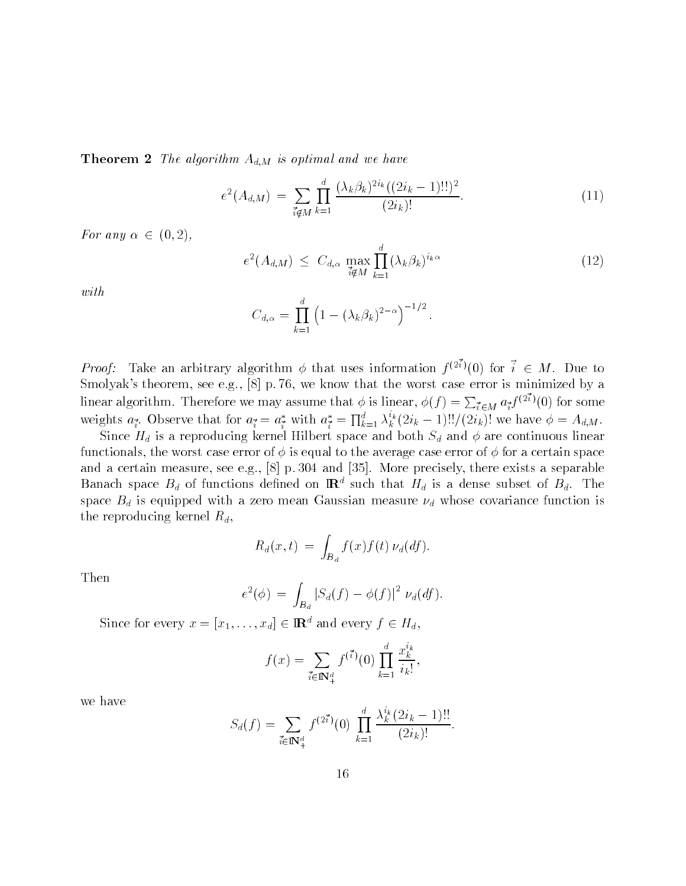$\overline{\phantom{a}}$  theorem  $\overline{\phantom{a}}$  and  $\overline{\phantom{a}}$  and  $\overline{\phantom{a}}$  and  $\overline{\phantom{a}}$  and  $\overline{\phantom{a}}$  and  $\overline{\phantom{a}}$  and  $\overline{\phantom{a}}$  and  $\overline{\phantom{a}}$  and  $\overline{\phantom{a}}$  and  $\overline{\phantom{a}}$  and  $\overline{\phantom{a}}$  and  $\overline{\phantom{a}}$  and  $\overline{\phantom{a$ 

$$
e^{2}(A_{d,M}) = \sum_{i \notin M} \prod_{k=1}^{d} \frac{(\lambda_k \beta_k)^{2i_k} ((2i_k - 1)!!)^2}{(2i_k)!}.
$$
 (11)

For any  $\alpha \in (0,2)$ ,

$$
e^{2}(A_{d,M}) \leq C_{d,\alpha} \max_{\vec{i} \notin M} \prod_{k=1}^{d} (\lambda_k \beta_k)^{i_k \alpha} \tag{12}
$$

with

$$
C_{d,\alpha} = \prod_{k=1}^d \left(1 - (\lambda_k \beta_k)^{2-\alpha}\right)^{-1/2}.
$$

*Proof:* Take an arbitrary algorithm  $\phi$  that uses information  $f^{(2)}(0)$  for  $i \in M$ . Due to Smolyak's theorem, see e.g.,  $[8]$  p.76, we know that the worst case error is minimized by a linear algorithm. Therefore we may assume that  $\phi$  is linear,  $\phi(f)=\sum_{\vec{\imath}\in M}a_{\vec{\imath}}f^{(2i)}(0)$  for some weights  $a_i$ . Observe that for  $a_i = a_i^*$  with  $a_i^* = \prod_{k=1}^d \lambda_k^{i_k} (2i_k - 1)!!/(2i_k)!$  we have  $\phi = A_{d,M}$ .

Since Homography is a reproduction for the space and both Sd and both Sd and both Sd and  $\alpha$ reproducing linear continuous linear continuous linear continuous linear continuous linear continuous linear continuous linear c functionals, the worst case error of  $\phi$  is equal to the average case error of  $\phi$  for a certain space and a certain measure, see e.g.,  $[8]$  p. 304 and  $[35]$ . More precisely, there exists a separable Banach space  $B_d$  of functions defined on  $\mathbf{R}^*$  such that  $H_d$  is a dense subset of  $B_d$ . The space Bd is equipped with a zero mean Gaussian measurement measurement of  $\mu$  whose covariance function is a the reproducing kernel  $R_d$ ,

$$
R_d(x,t) = \int_{B_d} f(x) f(t) \nu_d(df).
$$

Then

$$
e^{2}(\phi) = \int_{B_d} |S_d(f) - \phi(f)|^2 \ \nu_d(df).
$$

Since for every  $x = [x_1, \ldots, x_d] \in \mathbb{R}^d$  and every  $f \in H_d$ ,

$$
f(x) = \sum_{\vec{i} \in \mathbb{N}_+^d} f^{(\vec{i})}(0) \prod_{k=1}^d \frac{x_k^{i_k}}{i_k!},
$$

we have

$$
S_d(f) = \sum_{\vec{i} \in \mathbb{N}_+^d} f^{(2\vec{i})}(0) \prod_{k=1}^d \frac{\lambda_k^{i_k} (2i_k - 1)!!}{(2i_k)!}.
$$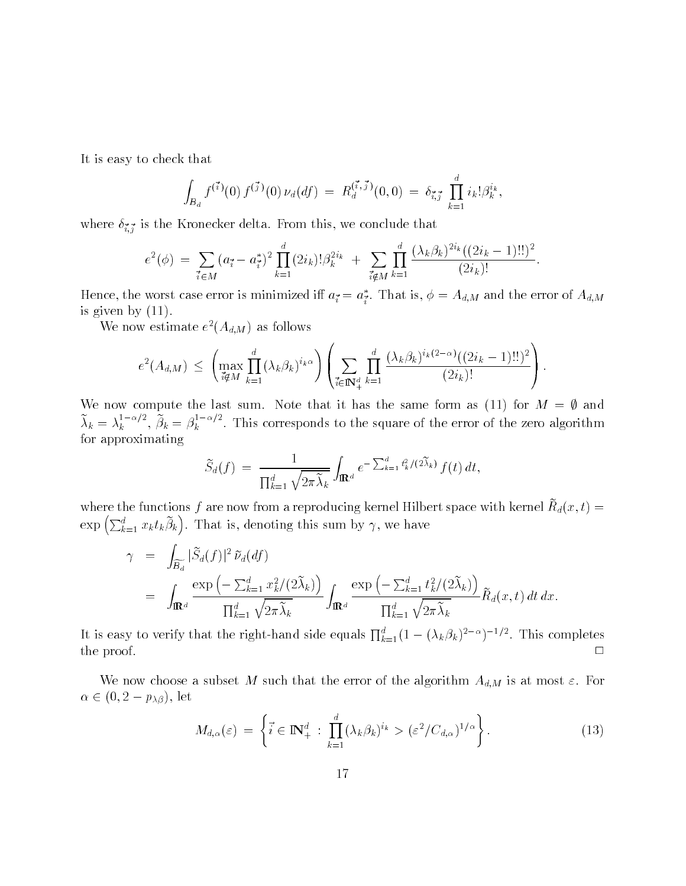It is easy to check that

$$
\int_{B_d} f^{(\vec{i})}(0) f^{(\vec{j})}(0) \nu_d(df) = R_d^{(\vec{i}, \vec{j})}(0,0) = \delta_{\vec{i}, \vec{j}} \prod_{k=1}^d i_k! \beta_k^{i_k},
$$

where  $\cdot$   $\cdot$   $\cdot$   $\cdot$   $\cdot$  is the Kronecker delta From the Kronecker delta From the  $\cdot$ 

$$
e^{2}(\phi) = \sum_{\vec{i} \in M} (a_{\vec{i}} - a_{\vec{i}}^{*})^{2} \prod_{k=1}^{d} (2i_{k})! \beta_{k}^{2i_{k}} + \sum_{\vec{i} \notin M} \prod_{k=1}^{d} \frac{(\lambda_{k} \beta_{k})^{2i_{k}} ((2i_{k} - 1)!!)^{2}}{(2i_{k})!}.
$$

Hence, the worst case error is minimized in  $a_i = a_i$ . That is,  $\varphi = A_{d,M}$  and the error of  $A_{d,M}$ is given by  $(11)$ .

We now estimate  $e^{-}(A_{d,M})$  as follows

$$
e^{2}(A_{d,M}) \leq \left(\max_{i \notin M} \prod_{k=1}^{d} (\lambda_k \beta_k)^{i_k \alpha}\right) \left(\sum_{i \in \mathbb{N}_+^d} \prod_{k=1}^{d} \frac{(\lambda_k \beta_k)^{i_k(2-\alpha)}((2i_k-1)!!)^2}{(2i_k)!}\right).
$$

We now compute the last sum. Note that it has the same form as (11) for  $M = \emptyset$  and  $\lambda_k = \lambda_k$  ,  $\beta$  $\frac{1}{k}$   $\cdots$ ,  $\beta_k = \beta_k$   $\cdots$ . I  $\kappa$  This corresponds to the square of the error of the error of the error of the error of the error of the error of the error of the error of the error of the error of the error of the error of the error of the error of for approximating

$$
\widetilde{S}_d(f) = \frac{1}{\prod_{k=1}^d \sqrt{2\pi \widetilde{\lambda}_k}} \int_{\mathbf{R}^d} e^{-\sum_{k=1}^d t_k^2/(2\widetilde{\lambda}_k)} f(t) dt,
$$

where the functions  $f$  are now from a reproducing kernel Hilbert space with kernel  $R_d(x,t) =$  $\exp\left(\sum_{k=1}^d x_k t_k \tilde{\beta}_k\right)$ . That is, denoting this sum by  $\gamma$ , we have

$$
\gamma = \int_{\widetilde{B}_d} |\widetilde{S}_d(f)|^2 \widetilde{\nu}_d(df)
$$
  
= 
$$
\int_{\mathbb{R}^d} \frac{\exp(-\sum_{k=1}^d x_k^2/(2\widetilde{\lambda}_k))}{\prod_{k=1}^d \sqrt{2\pi \widetilde{\lambda}_k}} \int_{\mathbb{R}^d} \frac{\exp(-\sum_{k=1}^d t_k^2/(2\widetilde{\lambda}_k))}{\prod_{k=1}^d \sqrt{2\pi \widetilde{\lambda}_k}} \widetilde{R}_d(x,t) dt dx.
$$

It is easy to verify that the right-hand side equals  $\prod_{k=1}^d (1-(\lambda_k\beta_k)^{2-\alpha})^{-1/2}$ . This completes  $\Box$ the proof of the proof of the proof of the proof of the proof of the proof of the proof of the proof of the proof of the proof of the proof of the proof of the proof of the proof of the proof of the proof of the proof of t

where  $\Omega$  subset  $\Omega$  subset  $\Omega$  subset a subset of the algorithm Ad-Ad-  $\Omega$  $\alpha \in (0, 2 - p_{\lambda\beta})$ , let

$$
M_{d,\alpha}(\varepsilon) = \left\{ \vec{i} \in \mathbb{N}_+^d : \prod_{k=1}^d (\lambda_k \beta_k)^{i_k} > (\varepsilon^2 / C_{d,\alpha})^{1/\alpha} \right\}.
$$
 (13)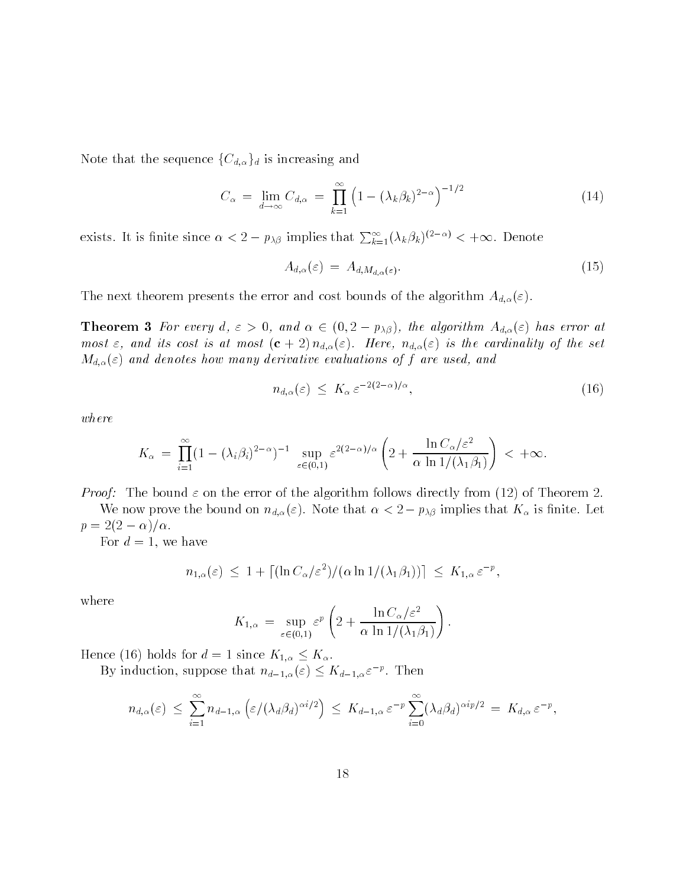Note that the sequence  ${C_{d,\alpha}}_d$  is increasing and

$$
C_{\alpha} = \lim_{d \to \infty} C_{d,\alpha} = \prod_{k=1}^{\infty} \left( 1 - (\lambda_k \beta_k)^{2-\alpha} \right)^{-1/2}
$$
 (14)

exists. It is finite since  $\alpha < 2 - p_{\lambda\beta}$  implies that  $\sum_{k=1}^{\infty} (\lambda_k \beta_k)^{(2-\alpha)} < +\infty$ . Denote

$$
A_{d,\alpha}(\varepsilon) = A_{d,M_{d,\alpha}(\varepsilon)}.\tag{15}
$$

The next theorem presents the error and cost bounds of the algorithm Ad-

**Theorem 3** For every d,  $\varepsilon > 0$ , and  $\alpha \in (0, 2 - p_{\lambda\beta})$ , the algorithm  $A_{d,\alpha}(\varepsilon)$  has error at most is at most cost is at most cost is at most cost is at a most cost is at a most cost is at a most cost is a Md-- and denotes how many derivative evaluations of f are used and

$$
n_{d,\alpha}(\varepsilon) \le K_{\alpha} \varepsilon^{-2(2-\alpha)/\alpha},\tag{16}
$$

where

$$
K_{\alpha} = \prod_{i=1}^{\infty} (1 - (\lambda_i \beta_i)^{2-\alpha})^{-1} \sup_{\varepsilon \in (0,1)} \varepsilon^{2(2-\alpha)/\alpha} \left( 2 + \frac{\ln C_{\alpha}/\varepsilon^2}{\alpha \ln 1/(\lambda_1 \beta_1)} \right) < +\infty.
$$

Proof The bound - on the error of the algorithm follows directly from of Theorem

We now prove the bound on  $n_{d,\alpha}(\varepsilon)$ . Note that  $\alpha < 2 - p_{\lambda\beta}$  implies that  $K_{\alpha}$  is finite. Let  $p=2(2-\alpha)/\alpha$ .

For  $d = 1$ , we have

have  
\n
$$
n_{1,\alpha}(\varepsilon) \le 1 + \left[ (\ln C_{\alpha}/\varepsilon^2) / (\alpha \ln 1/(\lambda_1/\beta_1)) \right] \le K_{1,\alpha} \varepsilon^{-p},
$$

where

$$
K_{1,\alpha} = \sup_{\varepsilon \in (0,1)} \varepsilon^{p} \left( 2 + \frac{\ln C_{\alpha}/\varepsilon^{2}}{\alpha \ln 1/(\lambda_{1}\beta_{1})} \right).
$$

Hence (16) holds for  $d = 1$  since  $K_{1,\alpha} \leq K_{\alpha}$ .

By induction, suppose that  $n_{d-1,\alpha}(\varepsilon) \leq K_{d-1,\alpha} \varepsilon^{-p}$ . Then

$$
n_{d,\alpha}(\varepsilon) \leq \sum_{i=1}^{\infty} n_{d-1,\alpha} \left( \varepsilon/(\lambda_d \beta_d)^{\alpha i/2} \right) \leq K_{d-1,\alpha} \varepsilon^{-p} \sum_{i=0}^{\infty} (\lambda_d \beta_d)^{\alpha i p/2} = K_{d,\alpha} \varepsilon^{-p},
$$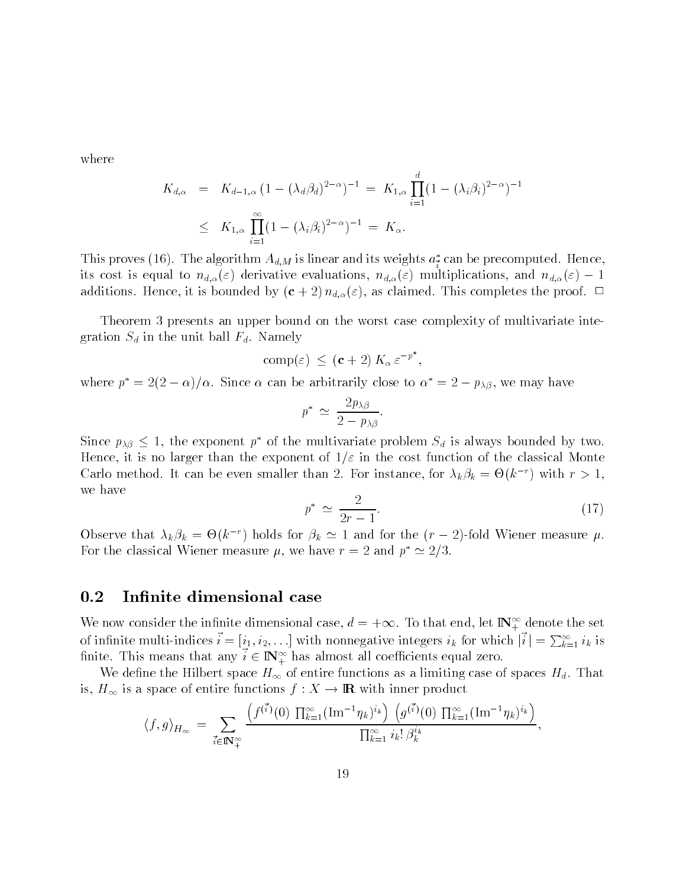where

$$
K_{d,\alpha} = K_{d-1,\alpha} (1 - (\lambda_d \beta_d)^{2-\alpha})^{-1} = K_{1,\alpha} \prod_{i=1}^d (1 - (\lambda_i \beta_i)^{2-\alpha})^{-1}
$$
  
 
$$
\leq K_{1,\alpha} \prod_{i=1}^\infty (1 - (\lambda_i \beta_i)^{2-\alpha})^{-1} = K_\alpha.
$$

This proves (10). The algorithm  $A_{d,M}$  is fillear and its weights  $a_{\tilde{i}}$  can be precomputed. Hence, iits cost is equal to  $n_{d,\alpha}(\varepsilon)$  derivative evaluations,  $n_{d,\alpha}(\varepsilon)$  multiplications, and  $n_{d,\alpha}(\varepsilon) - 1$ additions Hence it is bounded by c  $\mu$  (  $\mu$  ) in  $\mu$  (  $\mu$  ) is a complete the proof of  $\mu$  and  $\mu$ 

Theorem 3 presents an upper bound on the worst case complexity of multivariate integration Sd in the unit ball State of Namely State  $\alpha$ 

$$
\text{comp}(\varepsilon) \, \leq \, (\mathbf{c} + 2) \, K_{\alpha} \, \varepsilon^{-p^*}
$$

where  $p^* = 2(2 - \alpha)/\alpha$ . Since  $\alpha$  can be arbitrarily close to  $\alpha^* = 2 - p_{\lambda\beta}$ , we may have

$$
p^* \simeq \frac{2p_{\lambda\beta}}{2-p_{\lambda\beta}}.
$$

Since  $p_{\lambda\beta} \leq 1$ , the exponent  $p^*$  of the multivariate problem  $S_d$  is always bounded by two. example, at all analysis thanks the cosponent of a will the cost function of the contraction of the cost of th Carlo method. It can be even smaller than Z. For instance, for  $\lambda_k \rho_k = \Theta(k^+)$  with  $r > 1$ , we have

$$
p^* \simeq \frac{2}{2r-1}.\tag{17}
$$

Observe that  $\lambda_k \beta_k = \Theta(k^{-r})$  holds for  $\beta_k \simeq 1$  and for the  $(r-2)$ -fold Wiener measure  $\mu$ . For the classical Wiener measure  $\mu$ , we have  $r = 2$  and  $p^* \simeq 2/3$ .

#### $0.2$ Infinite dimensional case

We now consider the infinite dimensional case,  $d = +\infty$ . To that end, let  $\mathbb{N}_+^{\infty}$  denote the set of infinite multi-indices  $i = [i_1, i_2, \ldots]$  with nonnegative integers  $i_k$  for which  $|i| = \sum_{k=1}^{\infty} i_k$  is finite. This means that any  $i \in \mathbb{N}_+^{\infty}$  has almost all coefficients equal zero.

we define the Hilbert space H of entire functions as a limiting case of the functions  $\alpha$  and  $\alpha$  is a limit is,  $H_{\infty}$  is a space of entire functions  $f : X \to \mathbb{R}$  with inner product

$$
\langle f, g \rangle_{H_{\infty}} = \sum_{\vec{i} \in \mathbb{N}_{+}^{\infty}} \frac{\left( f^{(\vec{i})}(0) \prod_{k=1}^{\infty} (\text{Im}^{-1} \eta_k)^{i_k} \right) \left( g^{(\vec{i})}(0) \prod_{k=1}^{\infty} (\text{Im}^{-1} \eta_k)^{i_k} \right)}{\prod_{k=1}^{\infty} i_k! \beta_k^{i_k}},
$$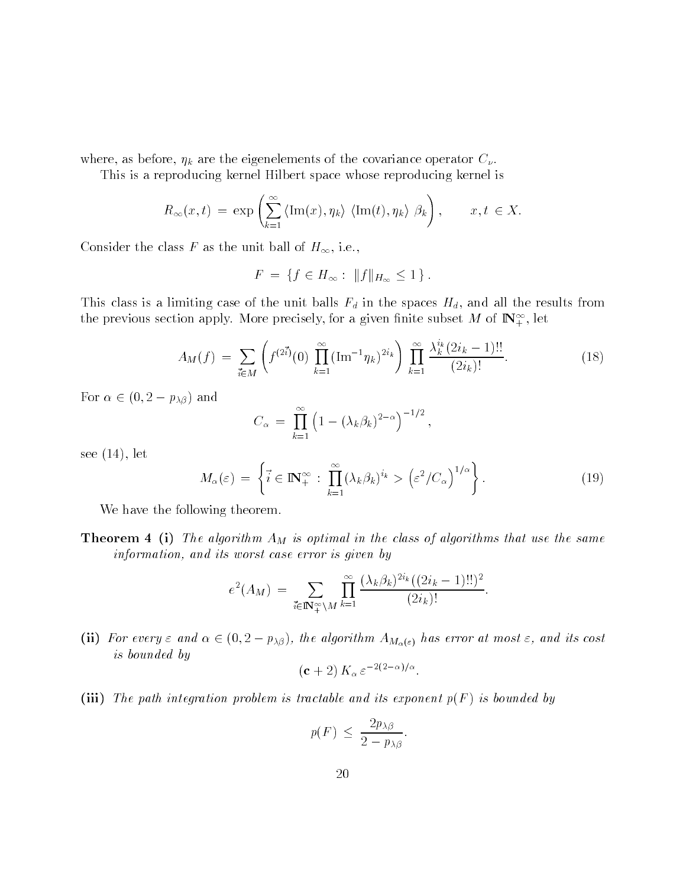where  $\alpha$  are the eigenvalue of the covariance of the covariance operator  $\alpha$   $\mu$  .

This is a reproducing Kernel Hilbert space whose reproducing Kernel is  
\n
$$
R_{\infty}(x,t) = \exp\left(\sum_{k=1}^{\infty} \langle \text{Im}(x), \eta_k \rangle \langle \text{Im}(t), \eta_k \rangle \beta_k \right), \qquad x, t \in X.
$$

Consider the class F as the unit ball of  $H_{\infty}$ , i.e.,

$$
F = \{ f \in H_{\infty} : ||f||_{H_{\infty}} \le 1 \}.
$$

This case of this case of the unit balls  $\mathbf{H}_0$  and all the results from all the results from all the results from all the results from all the results from all the results from all the results from all the results fro the previous section apply. More precisely, for a given limite subset M of  $\mathbb{I}(\mathbb{N}_+^n)$ , let

$$
A_M(f) = \sum_{\vec{i} \in M} \left( f^{(2\vec{i})}(0) \prod_{k=1}^{\infty} (\text{Im}^{-1} \eta_k)^{2i_k} \right) \prod_{k=1}^{\infty} \frac{\lambda_k^{i_k} (2i_k - 1)!!}{(2i_k)!}.
$$
 (18)

For  $\alpha \in (0, 2 - p_{\lambda\beta})$  and

$$
C_{\alpha} = \prod_{k=1}^{\infty} \left( 1 - (\lambda_k \beta_k)^{2-\alpha} \right)^{-1/2},
$$

see  $(14)$ , let

$$
M_{\alpha}(\varepsilon) = \left\{ \vec{i} \in \mathbb{N}_{+}^{\infty} : \prod_{k=1}^{\infty} (\lambda_k \beta_k)^{i_k} > \left(\varepsilon^2 / C_{\alpha}\right)^{1/\alpha} \right\}.
$$
 (19)

We have the following theorem.

The algorithm and in the algorithm at  $\alpha$  is optimiliar that the same  $\alpha$  algorithms that use that same information, and its worst case error is given by

$$
e^{2}(A_{M}) = \sum_{\vec{i} \in \mathbb{N}_{+}^{\infty} \backslash M} \prod_{k=1}^{\infty} \frac{(\lambda_{k} \beta_{k})^{2i_{k}}((2i_{k}-1)!!)^{2}}{(2i_{k})!}.
$$

(ii) For every  $\varepsilon$  and  $\alpha \in (0, 2-p_{\lambda\beta})$ , the algorithm  $A_{M_\alpha(\varepsilon)}$  has error at most  $\varepsilon$ , and its cost is bounded by

$$
(c+2) K_{\alpha} \varepsilon^{-2(2-\alpha)/\alpha}.
$$

(iii) The path integration problem is tractable and its exponent  $p(F)$  is bounded by

$$
p(F) \le \frac{2p_{\lambda\beta}}{2 - p_{\lambda\beta}}.
$$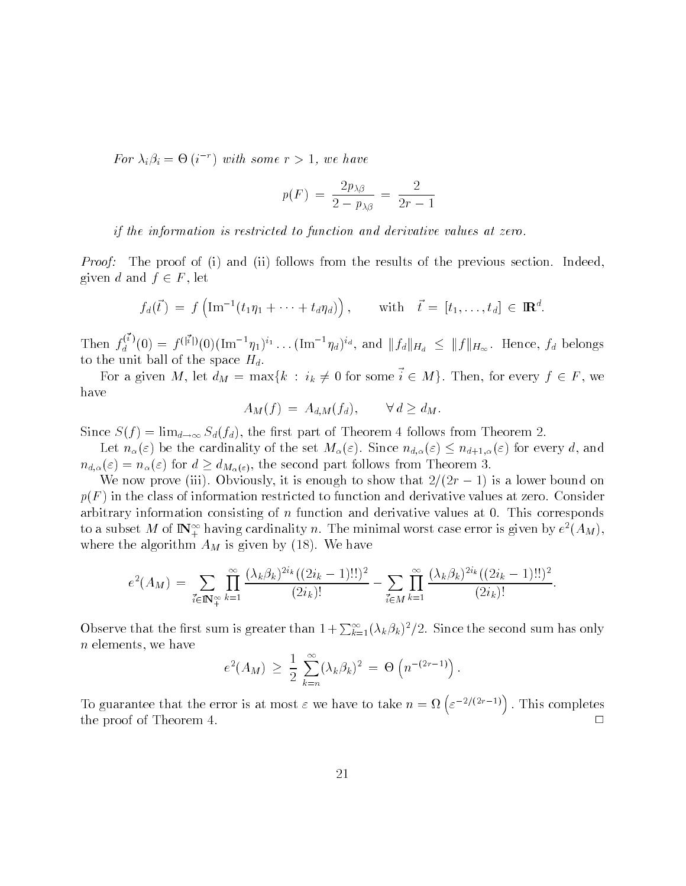For  $\lambda_i \beta_i = \Theta(i)$  with some  $r > 1$ , we have

$$
p(F) = \frac{2p_{\lambda\beta}}{2 - p_{\lambda\beta}} = \frac{2}{2r - 1}
$$

if the information is restricted to function and derivative values at zero

*Proof:* The proof of (i) and (ii) follows from the results of the previous section. Indeed, given d and  $f \in F$ , let

$$
f_d(\vec{t}) = f\left(\text{Im}^{-1}(t_1\eta_1 + \cdots + t_d\eta_d)\right), \quad \text{with} \quad \vec{t} = [t_1, \ldots, t_d] \in \mathbb{R}^d.
$$

Then  $f_d^{(i)}(0)$  $f_d(t) = f(\text{Im } (t_1 \eta_1 + \dots + t_d \eta_d)),$  with  $t = [t_1, \dots, t_d] \in \mathbb{R}^d.$ <br>  $f_d^{(\vec{i})}(0) = f^{(|\vec{i}|)}(0)(\text{Im}^{-1} \eta_1)^{i_1} \dots (\text{Im}^{-1} \eta_d)^{i_d},$  and  $||f_d||_{H_d} \le ||f||_{H_{\infty}}$ . Hence,  $f_d$  belongs to the unit ball of the space  $H_d$ .

For a given M, let  $d_M = \max\{k : i_k \neq 0 \text{ for some } i \in M\}$ . Then, for every  $f \in F$ , we have

$$
A_M(f) = A_{d,M}(f_d), \qquad \forall d \ge d_M.
$$

Since Sf limd Sdfd the rst part of Theorem follows from Theorem

Let  $n_{\alpha}(\varepsilon)$  be the cardinality of the set  $M_{\alpha}(\varepsilon)$ . Since  $n_{d,\alpha}(\varepsilon) \leq n_{d+1,\alpha}(\varepsilon)$  for every d, and  $n_{d,\alpha}(\varepsilon) = n_{\alpha}(\varepsilon)$  for  $d \geq d_{M_{\alpha}(\varepsilon)}$ , the second part follows from Theorem 3.

We now prove (iii). Obviously, it is enough to show that  $2/(2r - 1)$  is a lower bound on  $p(F)$  in the class of information restricted to function and derivative values at zero. Consider arbitrary information consisting of  $n$  function and derivative values at  $0$ . This corresponds to a subset M of IN  $_+^+$  having cardinality n. The minimal worst case error is given by  $e^-(A_M)$ , where the algorithm  $\mathcal{A}_{M}$  is given by  $\mathcal{A}_{M}$  where  $\mathcal{A}_{M}$ 

$$
e^{2}(A_{M}) = \sum_{\vec{i} \in \mathbb{N}_{+}^{\infty}} \prod_{k=1}^{\infty} \frac{(\lambda_{k}\beta_{k})^{2i_{k}}((2i_{k}-1)!!)^{2}}{(2i_{k})!} - \sum_{\vec{i} \in M} \prod_{k=1}^{\infty} \frac{(\lambda_{k}\beta_{k})^{2i_{k}}((2i_{k}-1)!!)^{2}}{(2i_{k})!}.
$$

Observe that the first sum is greater than  $1+\sum_{k=1}^{\infty}(\lambda_k\beta_k)^2/2$ . Since the second sum has only  $n$  elements, we have

$$
e^{2}(A_M) \geq \frac{1}{2} \sum_{k=n}^{\infty} (\lambda_k \beta_k)^2 = \Theta(n^{-(2r-1)})
$$
.

To guarantee that the error is at most  $\varepsilon$  we have to take  $n = \Omega\left(\varepsilon^{-2/(2r-1)}\right)$ . This completes the proof of Theorem 4.  $\Box$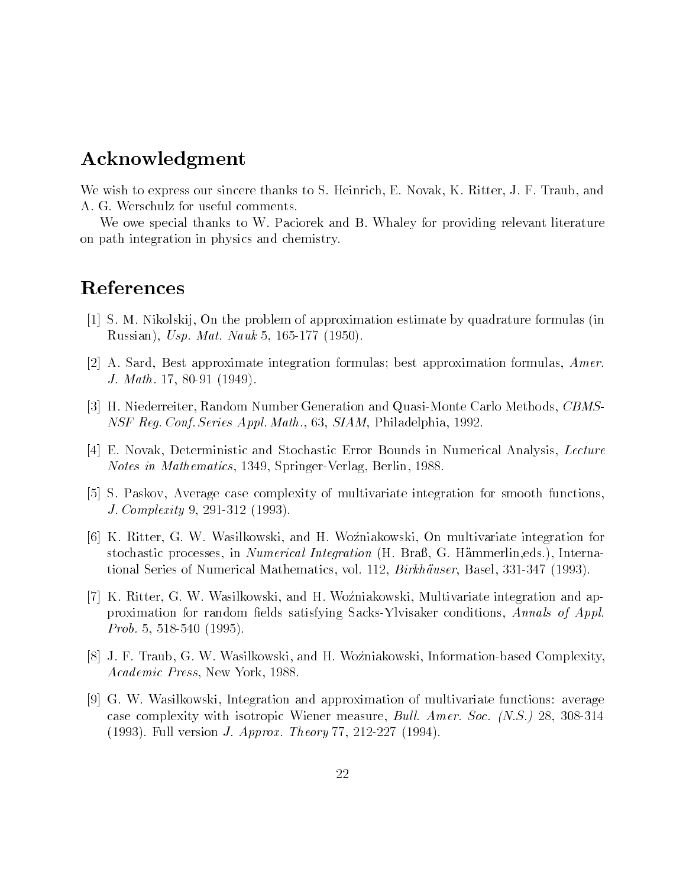## Acknowledgment

We wish to express our sincere thanks to S. Heinrich, E. Novak, K. Ritter, J. F. Traub, and A. G. Werschulz for useful comments.

We owe special thanks to W. Paciorek and B. Whaley for providing relevant literature on path integration in physics and chemistry

## References

- [1] S. M. Nikolskij, On the problem of approximation estimate by quadrature formulas (in russian in the Usp Matter of the Usp Matter of the Usp Matter of the Usp Matter of the Usp Matter of the Usp M
- [2] A. Sard, Best approximate integration formulas; best approximation formulas,  $Amer$ .  $\blacksquare$  . The math  $\blacksquare$  is the math  $\blacksquare$
- H Niederreiter Random Number Generation and Quasi-Monte Carlo Methods CBMS-NSF Reg. Conf. Series Appl. Math., 63, SIAM, Philadelphia, 1992.
- [4] E. Novak, Deterministic and Stochastic Error Bounds in Numerical Analysis, Lecture  $\mathcal{N}$  and  $\mathcal{N}$  and  $\mathcal{N}$  and  $\mathcal{N}$  and  $\mathcal{N}$  and  $\mathcal{N}$  are springer-
- [5] S. Paskov, Average case complexity of multivariate integration for smooth functions. J Complexity -
- [6] K. Ritter, G. W. Wasilkowski, and H. Woźniakowski, On multivariate integration for stochastic processes, in *Numerical Integration* (H. Braß, G. Hämmerlin, eds.), International Series of Numerical Mathematics of Numerical Mathematics  $\mathbf M$  -birkhauser Basel $\mathbf M$
- [7] K. Ritter, G. W. Wasilkowski, and H. Woźniakowski, Multivariate integration and approximation for random mathematic satisfying satisfying random conditions of the sactions  $\cdots$  , , , , , , , Problem in the set of the contract of the set of the set of the set of the set of the set of the set of the set of the set of the set of the set of the set of the set of the set of the set of the set of the set of the set
- j v j v j m i mening and H Wozniakowski wasilkowski information-information-information-information-informatio Academic Press, New York, 1988
- [9] G. W. Wasilkowski, Integration and approximation of multivariate functions: average case complexity with isotropic Wiener measured and all anticipations of the property  $\equiv$  of the social complexity Full version  $\mathcal{F}$  and  $\mathcal{F}$  are a set of  $\mathcal{F}$  . The contract of  $\mathcal{F}$  and  $\mathcal{F}$  are a set of  $\mathcal{F}$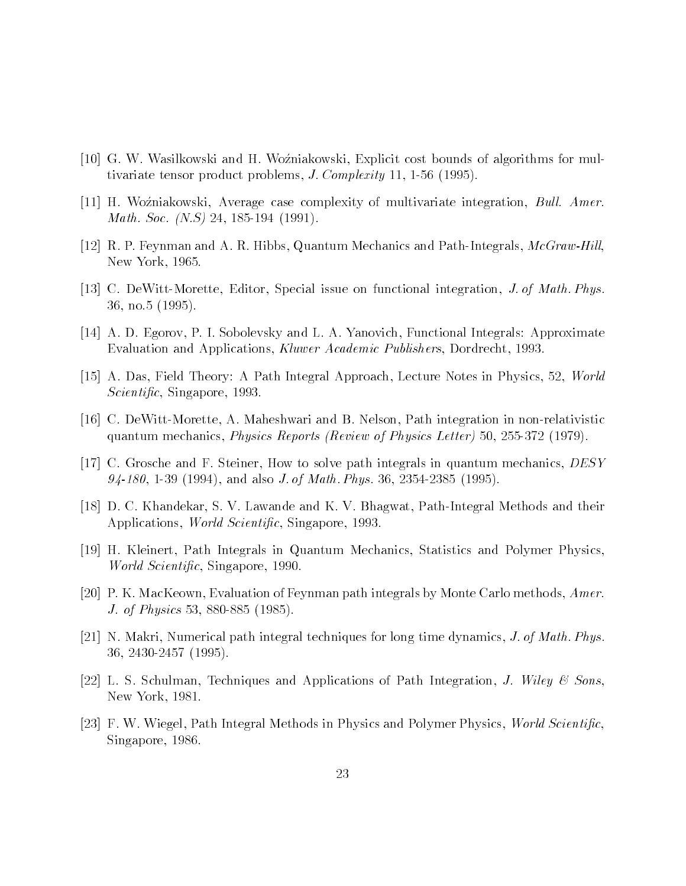- [10] G. W. Wasilkowski and H. Woźniakowski, Explicit cost bounds of algorithms for multivariate tensor problems  $\mathbf{I}$  complexity  $\mathbf{I}$  complexity  $\mathbf{I}$  and  $\mathbf{I}$  and  $\mathbf{I}$
- [11] H. Woźniakowski, Average case complexity of multivariate integration, Bull. Amer. math Society (1999) - 1999 - 1999 - 1999 - 1999 - 1999 - 1999 - 1999 - 1999 - 1999 - 1999 - 1999 - 1999 - 1999
- r P Feynman and A R Hills and Path-Integrals and Path-Integrals and Path-Integration and Path-Integration and New York, 1965.
- contract the more on the Section is the Section of Math Physical integration on  $\Delta$  and  $\Delta$  and  $\Delta$   $\Delta$   $\Delta$ 36, no.5 (1995).
- [14] A. D. Egorov, P. I. Sobolevsky and L. A. Yanovich, Functional Integrals: Approximate Evaluation and Applications, Kluwer Academic Publishers, Dordrecht, 1993.
- [15] A. Das, Field Theory: A Path Integral Approach, Lecture Notes in Physics, 52, World s and contract the contract of the contract of the contract of the contract of the contract of the contract of
- relativistic and a more that is a more than and b nelson in the second complete the second contract of the second quantum mechanics Physics Reports Review of Physics Letter -
- [17] C. Grosche and F. Steiner, How to solve path integrals in quantum mechanics,  $DESY$ - - and also J of Math Phys -
- D C Khandekar S V Lawande and K V Bhagwat Path-Integral Methods and their Applications World Scienti c Singapore
- [19] H. Kleinert, Path Integrals in Quantum Mechanics, Statistics and Polymer Physics. was singled structured to the contract the structure of the structure of the structure of the structure of the
- [20] P. K. MacKeown, Evaluation of Feynman path integrals by Monte Carlo methods,  $Amer$ . J of Physics -
- $|21|$  N. Makri, Numerical path integral techniques for long time dynamics, *J. of Math. Phys.*  -
- [22] L. S. Schulman, Techniques and Applications of Path Integration, *J. Wiley & Sons.* New York, 1981.
- F W Wiegel Methods in Physics and Physics and Physics and Physics and Physics and Physics and Physics and Physics Singapore, 1986.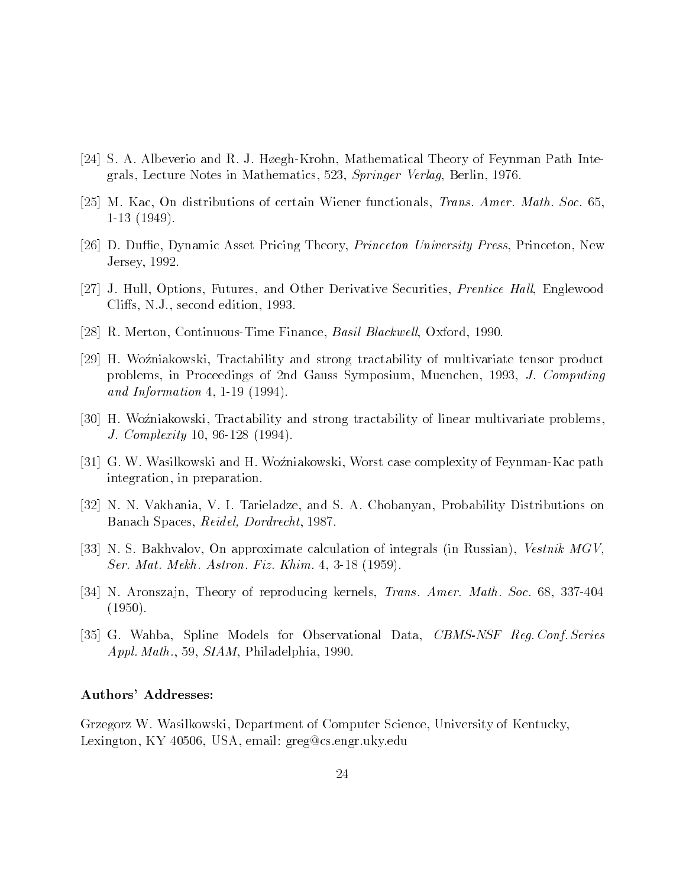- S A Albert Land R J H and R J H and R J H and R J H and Theory of Feynman Path Intergrals, Lecture Notes in Mathematics, 523, Springer Verlag, Berlin, 1976.
- [25] M. Kac, On distributions of certain Wiener functionals, *Trans. Amer. Math. Soc.* 65. - - - - - - - . .
- [26] D. Duffie, Dynamic Asset Pricing Theory, *Princeton University Press*, Princeton, New Jersey
- [27] J. Hull, Options, Futures, and Other Derivative Securities, *Prentice Hall*, Englewood Cliffs, N.J., second edition, 1993.
- R Merton Continuous-Time Finance Basil Blackwell Oxford
- [29] H. Woźniakowski, Tractability and strong tractability of multivariate tensor product problems, in Proceedings of 2nd Gauss Symposium, Muenchen, 1993, J. Computing and in the Information of the Information of the Information of the Information of the Information of the Information of the Information of the Information of the Information of the Information of the Information of the In
- [30] H. Woźniakowski, Tractability and strong tractability of linear multivariate problems. J Complexity -
- g was in the H Worst complexity of H Worst case complexity of H Worst case complexity of Feynman and the pathwa integration, in preparation.
- [32] N. N. Vakhania, V. I. Tarieladze, and S. A. Chobanyan, Probability Distributions on Banach Spaces, Reidel, Dordrecht, 1987.
- [33] N.S. Bakhvalov, On approximate calculation of integrals (in Russian), Vestnik MGV, Ser Mat Mekhanisation Fiz Khim and the Mekhanisation Fiz Khim Astron Fiz Khim Astron Fiz Khim Astron Fiz Khim A
- N Aronsza jaronsza jegy a przez przez przez przez przez przez America America, w przez podpoducje przez przez  $(1950).$
- iaal oo steedste Models for Observation Data Databall Observation ave to stelling the series of  $Appl. Math., 59, SIAM, Philadelphia, 1990.$

#### Authors' Addresses:

Grzegorz W. Wasilkowski, Department of Computer Science, University of Kentucky, Lexington, KY 40506, USA, email: greg@cs.engr.uky.edu